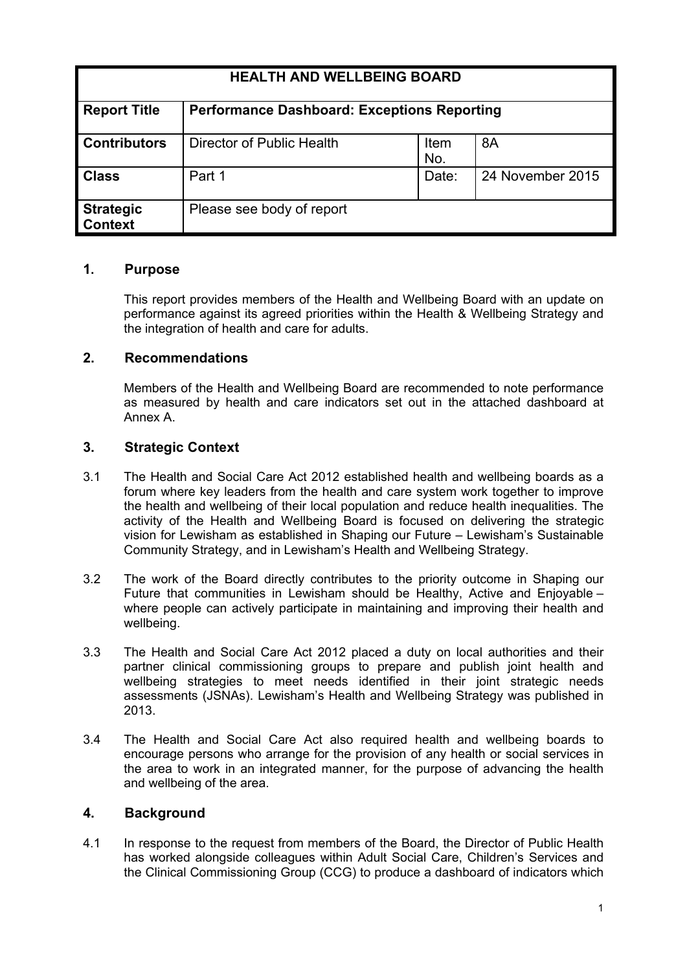| <b>HEALTH AND WELLBEING BOARD</b>  |                                                    |             |                  |
|------------------------------------|----------------------------------------------------|-------------|------------------|
| <b>Report Title</b>                | <b>Performance Dashboard: Exceptions Reporting</b> |             |                  |
| <b>Contributors</b>                | Director of Public Health                          | Item<br>No. | 8A               |
| <b>Class</b>                       | Part 1                                             | Date:       | 24 November 2015 |
| <b>Strategic</b><br><b>Context</b> | Please see body of report                          |             |                  |

## **1. Purpose**

This report provides members of the Health and Wellbeing Board with an update on performance against its agreed priorities within the Health & Wellbeing Strategy and the integration of health and care for adults.

## **2. Recommendations**

Members of the Health and Wellbeing Board are recommended to note performance as measured by health and care indicators set out in the attached dashboard at Annex A.

# **3. Strategic Context**

- 3.1 The [Health](http://webarchive.nationalarchives.gov.uk/20130805112926/http:/healthandcare.dh.gov.uk/act-factsheets) and Social Care Act 2012 established health and wellbeing boards as a forum where key leaders from the health and care system work together to improve the health and wellbeing of their local population and reduce health inequalities. The activity of the Health and Wellbeing Board is focused on delivering the strategic vision for Lewisham as established in Shaping our Future *–* Lewisham's Sustainable Community Strategy, and in Lewisham's Health and Wellbeing Strategy.
- 3.2 The work of the Board directly contributes to the priority outcome in Shaping our Future that communities in Lewisham should be Healthy, Active and Enjoyable – where people can actively participate in maintaining and improving their health and wellbeing.
- 3.3 The Health and Social Care Act 2012 placed a duty on local authorities and their partner clinical commissioning groups to prepare and publish joint health and wellbeing strategies to meet needs identified in their joint strategic needs assessments (JSNAs). Lewisham's Health and Wellbeing Strategy was published in 2013.
- 3.4 The Health and Social Care Act also required health and wellbeing boards to encourage persons who arrange for the provision of any health or social services in the area to work in an integrated manner, for the purpose of advancing the health and wellbeing of the area.

#### **4. Background**

4.1 In response to the request from members of the Board, the Director of Public Health has worked alongside colleagues within Adult Social Care, Children's Services and the Clinical Commissioning Group (CCG) to produce a dashboard of indicators which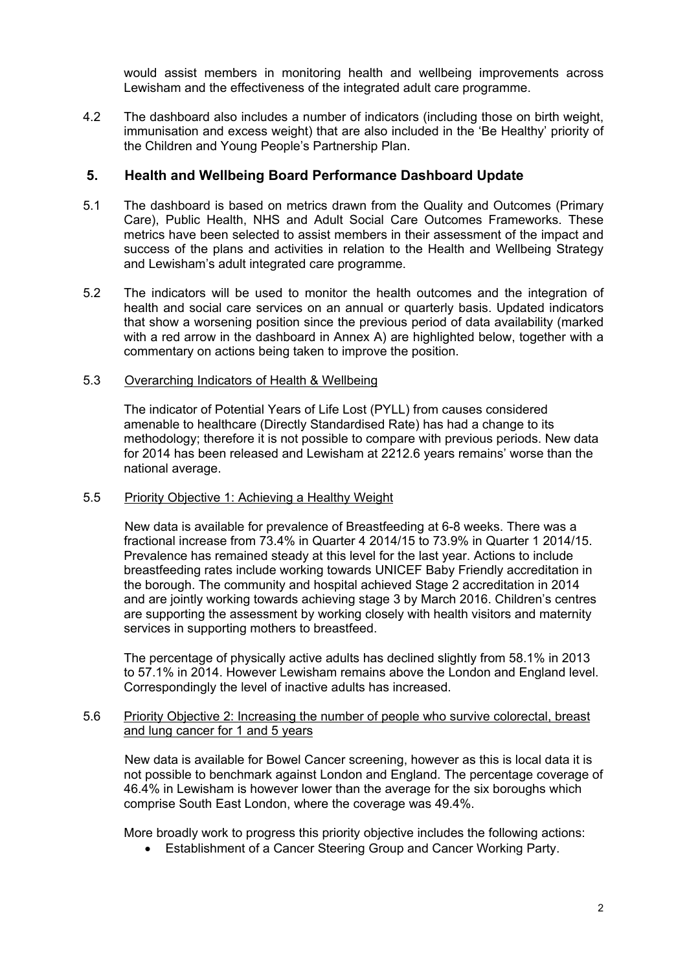would assist members in monitoring health and wellbeing improvements across Lewisham and the effectiveness of the integrated adult care programme.

4.2 The dashboard also includes a number of indicators (including those on birth weight, immunisation and excess weight) that are also included in the 'Be Healthy' priority of the Children and Young People's Partnership Plan.

# **5. Health and Wellbeing Board Performance Dashboard Update**

- 5.1 The dashboard is based on metrics drawn from the Quality and Outcomes (Primary Care), Public Health, NHS and Adult Social Care Outcomes Frameworks. These metrics have been selected to assist members in their assessment of the impact and success of the plans and activities in relation to the Health and Wellbeing Strategy and Lewisham's adult integrated care programme.
- 5.2 The indicators will be used to monitor the health outcomes and the integration of health and social care services on an annual or quarterly basis. Updated indicators that show a worsening position since the previous period of data availability (marked with a red arrow in the dashboard in Annex A) are highlighted below, together with a commentary on actions being taken to improve the position.

#### 5.3 Overarching Indicators of Health & Wellbeing

The indicator of Potential Years of Life Lost (PYLL) from causes considered amenable to healthcare (Directly Standardised Rate) has had a change to its methodology; therefore it is not possible to compare with previous periods. New data for 2014 has been released and Lewisham at 2212.6 years remains' worse than the national average.

#### 5.5 Priority Objective 1: Achieving a Healthy Weight

New data is available for prevalence of Breastfeeding at 6-8 weeks. There was a fractional increase from 73.4% in Quarter 4 2014/15 to 73.9% in Quarter 1 2014/15. Prevalence has remained steady at this level for the last year. Actions to include breastfeeding rates include working towards UNICEF Baby Friendly accreditation in the borough. The community and hospital achieved Stage 2 accreditation in 2014 and are jointly working towards achieving stage 3 by March 2016. Children's centres are supporting the assessment by working closely with health visitors and maternity services in supporting mothers to breastfeed.

The percentage of physically active adults has declined slightly from 58.1% in 2013 to 57.1% in 2014. However Lewisham remains above the London and England level. Correspondingly the level of inactive adults has increased.

#### 5.6 Priority Objective 2: Increasing the number of people who survive colorectal, breast and lung cancer for 1 and 5 years

New data is available for Bowel Cancer screening, however as this is local data it is not possible to benchmark against London and England. The percentage coverage of 46.4% in Lewisham is however lower than the average for the six boroughs which comprise South East London, where the coverage was 49.4%.

More broadly work to progress this priority objective includes the following actions:

Establishment of a Cancer Steering Group and Cancer Working Party.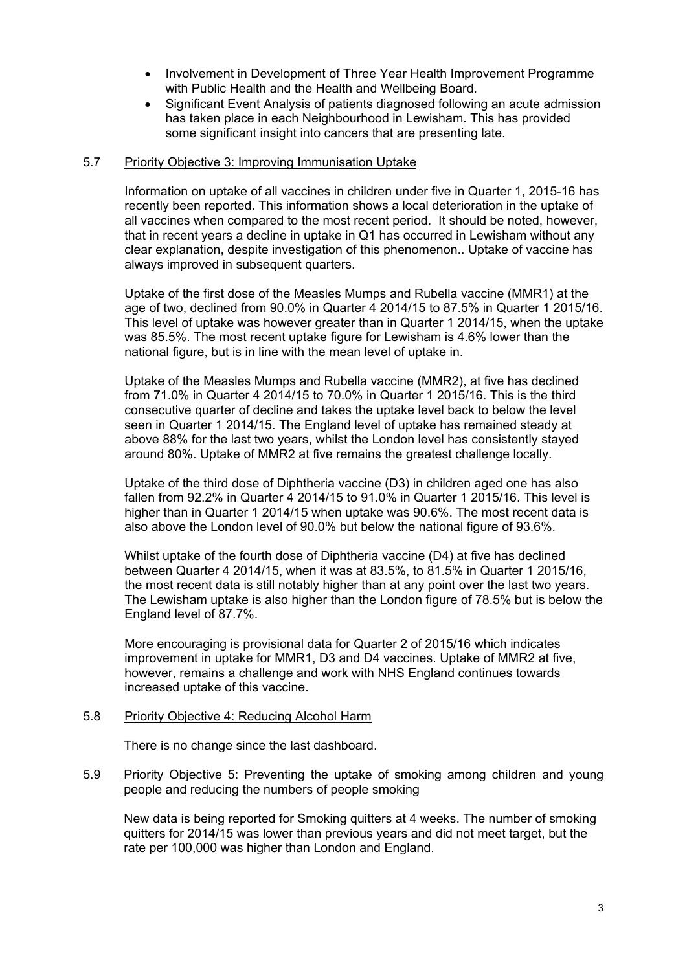- Involvement in Development of Three Year Health Improvement Programme with Public Health and the Health and Wellbeing Board.
- Significant Event Analysis of patients diagnosed following an acute admission has taken place in each Neighbourhood in Lewisham. This has provided some significant insight into cancers that are presenting late.

#### 5.7 Priority Objective 3: Improving Immunisation Uptake

Information on uptake of all vaccines in children under five in Quarter 1, 2015-16 has recently been reported. This information shows a local deterioration in the uptake of all vaccines when compared to the most recent period. It should be noted, however, that in recent years a decline in uptake in Q1 has occurred in Lewisham without any clear explanation, despite investigation of this phenomenon.. Uptake of vaccine has always improved in subsequent quarters.

Uptake of the first dose of the Measles Mumps and Rubella vaccine (MMR1) at the age of two, declined from 90.0% in Quarter 4 2014/15 to 87.5% in Quarter 1 2015/16. This level of uptake was however greater than in Quarter 1 2014/15, when the uptake was 85.5%. The most recent uptake figure for Lewisham is 4.6% lower than the national figure, but is in line with the mean level of uptake in.

Uptake of the Measles Mumps and Rubella vaccine (MMR2), at five has declined from 71.0% in Quarter 4 2014/15 to 70.0% in Quarter 1 2015/16. This is the third consecutive quarter of decline and takes the uptake level back to below the level seen in Quarter 1 2014/15. The England level of uptake has remained steady at above 88% for the last two years, whilst the London level has consistently stayed around 80%. Uptake of MMR2 at five remains the greatest challenge locally.

Uptake of the third dose of Diphtheria vaccine (D3) in children aged one has also fallen from 92.2% in Quarter 4 2014/15 to 91.0% in Quarter 1 2015/16. This level is higher than in Quarter 1 2014/15 when uptake was 90.6%. The most recent data is also above the London level of 90.0% but below the national figure of 93.6%.

Whilst uptake of the fourth dose of Diphtheria vaccine (D4) at five has declined between Quarter 4 2014/15, when it was at 83.5%, to 81.5% in Quarter 1 2015/16, the most recent data is still notably higher than at any point over the last two years. The Lewisham uptake is also higher than the London figure of 78.5% but is below the England level of 87.7%.

More encouraging is provisional data for Quarter 2 of 2015/16 which indicates improvement in uptake for MMR1, D3 and D4 vaccines. Uptake of MMR2 at five, however, remains a challenge and work with NHS England continues towards increased uptake of this vaccine.

#### 5.8 Priority Objective 4: Reducing Alcohol Harm

There is no change since the last dashboard.

#### 5.9 Priority Objective 5: Preventing the uptake of smoking among children and young people and reducing the numbers of people smoking

New data is being reported for Smoking quitters at 4 weeks. The number of smoking quitters for 2014/15 was lower than previous years and did not meet target, but the rate per 100,000 was higher than London and England.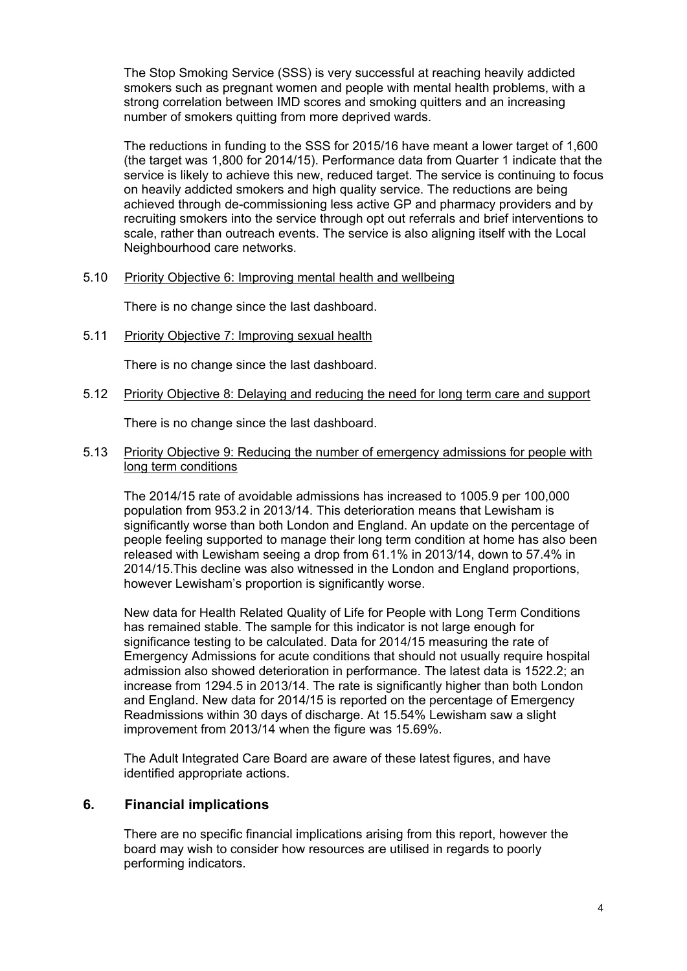The Stop Smoking Service (SSS) is very successful at reaching heavily addicted smokers such as pregnant women and people with mental health problems, with a strong correlation between IMD scores and smoking quitters and an increasing number of smokers quitting from more deprived wards.

The reductions in funding to the SSS for 2015/16 have meant a lower target of 1,600 (the target was 1,800 for 2014/15). Performance data from Quarter 1 indicate that the service is likely to achieve this new, reduced target. The service is continuing to focus on heavily addicted smokers and high quality service. The reductions are being achieved through de-commissioning less active GP and pharmacy providers and by recruiting smokers into the service through opt out referrals and brief interventions to scale, rather than outreach events. The service is also aligning itself with the Local Neighbourhood care networks.

5.10 Priority Objective 6: Improving mental health and wellbeing

There is no change since the last dashboard.

5.11 Priority Objective 7: Improving sexual health

There is no change since the last dashboard.

5.12 Priority Objective 8: Delaying and reducing the need for long term care and support

There is no change since the last dashboard.

5.13 Priority Objective 9: Reducing the number of emergency admissions for people with long term conditions

The 2014/15 rate of avoidable admissions has increased to 1005.9 per 100,000 population from 953.2 in 2013/14. This deterioration means that Lewisham is significantly worse than both London and England. An update on the percentage of people feeling supported to manage their long term condition at home has also been released with Lewisham seeing a drop from 61.1% in 2013/14, down to 57.4% in 2014/15.This decline was also witnessed in the London and England proportions, however Lewisham's proportion is significantly worse.

New data for Health Related Quality of Life for People with Long Term Conditions has remained stable. The sample for this indicator is not large enough for significance testing to be calculated. Data for 2014/15 measuring the rate of Emergency Admissions for acute conditions that should not usually require hospital admission also showed deterioration in performance. The latest data is 1522.2; an increase from 1294.5 in 2013/14. The rate is significantly higher than both London and England. New data for 2014/15 is reported on the percentage of Emergency Readmissions within 30 days of discharge. At 15.54% Lewisham saw a slight improvement from 2013/14 when the figure was 15.69%.

The Adult Integrated Care Board are aware of these latest figures, and have identified appropriate actions.

#### **6. Financial implications**

There are no specific financial implications arising from this report, however the board may wish to consider how resources are utilised in regards to poorly performing indicators.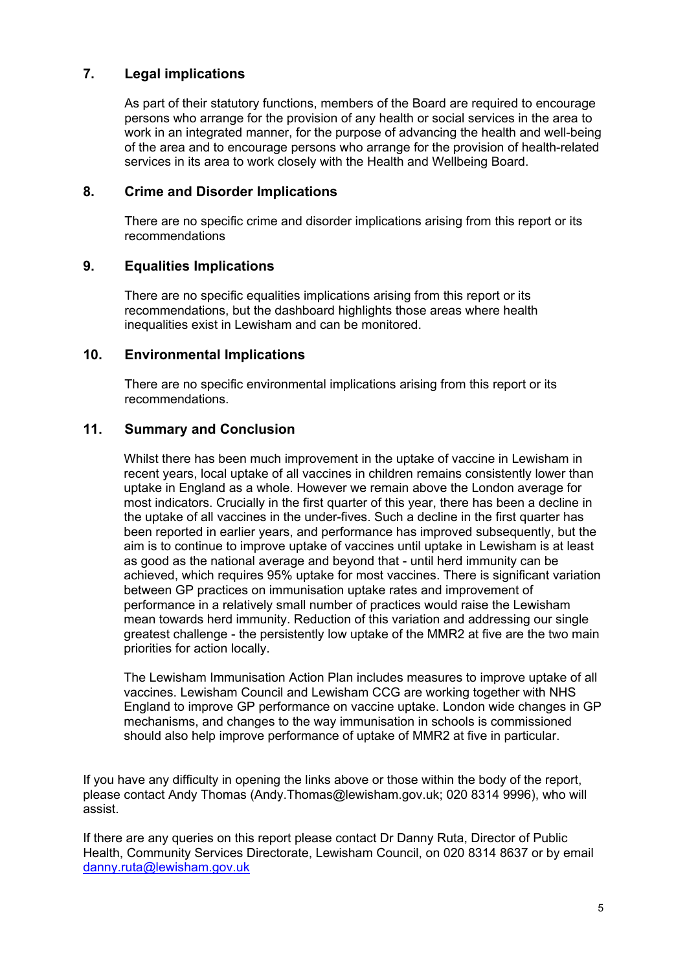# **7. Legal implications**

As part of their statutory functions, members of the Board are required to encourage persons who arrange for the provision of any health or social services in the area to work in an integrated manner, for the purpose of advancing the health and well-being of the area and to encourage persons who arrange for the provision of health-related services in its area to work closely with the Health and Wellbeing Board.

## **8. Crime and Disorder Implications**

There are no specific crime and disorder implications arising from this report or its recommendations

# **9. Equalities Implications**

There are no specific equalities implications arising from this report or its recommendations, but the dashboard highlights those areas where health inequalities exist in Lewisham and can be monitored.

## **10. Environmental Implications**

There are no specific environmental implications arising from this report or its recommendations.

## **11. Summary and Conclusion**

Whilst there has been much improvement in the uptake of vaccine in Lewisham in recent years, local uptake of all vaccines in children remains consistently lower than uptake in England as a whole. However we remain above the London average for most indicators. Crucially in the first quarter of this year, there has been a decline in the uptake of all vaccines in the under-fives. Such a decline in the first quarter has been reported in earlier years, and performance has improved subsequently, but the aim is to continue to improve uptake of vaccines until uptake in Lewisham is at least as good as the national average and beyond that - until herd immunity can be achieved, which requires 95% uptake for most vaccines. There is significant variation between GP practices on immunisation uptake rates and improvement of performance in a relatively small number of practices would raise the Lewisham mean towards herd immunity. Reduction of this variation and addressing our single greatest challenge - the persistently low uptake of the MMR2 at five are the two main priorities for action locally.

The Lewisham Immunisation Action Plan includes measures to improve uptake of all vaccines. Lewisham Council and Lewisham CCG are working together with NHS England to improve GP performance on vaccine uptake. London wide changes in GP mechanisms, and changes to the way immunisation in schools is commissioned should also help improve performance of uptake of MMR2 at five in particular.

If you have any difficulty in opening the links above or those within the body of the report, please contact Andy Thomas (Andy.Thomas@lewisham.gov.uk; 020 8314 9996), who will assist.

If there are any queries on this report please contact Dr Danny Ruta, Director of Public Health, Community Services Directorate, Lewisham Council, on 020 8314 8637 or by email [danny.ruta@lewisham.gov.uk](mailto:danny.ruta@lewisham.gov.uk)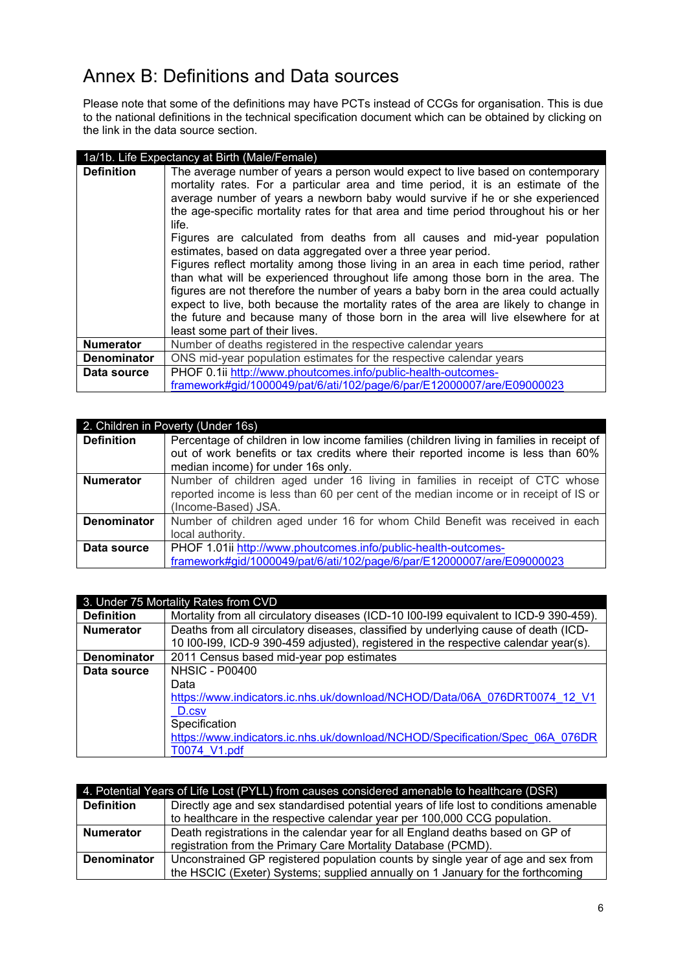# Annex B: Definitions and Data sources

Please note that some of the definitions may have PCTs instead of CCGs for organisation. This is due to the national definitions in the technical specification document which can be obtained by clicking on the link in the data source section.

| 1a/1b. Life Expectancy at Birth (Male/Female) |                                                                                                                                                                                                                                                                                                                                                                                                                                                                                                                                                                                                                                                                                                                                                                                                                                                                                                                                                                                       |  |
|-----------------------------------------------|---------------------------------------------------------------------------------------------------------------------------------------------------------------------------------------------------------------------------------------------------------------------------------------------------------------------------------------------------------------------------------------------------------------------------------------------------------------------------------------------------------------------------------------------------------------------------------------------------------------------------------------------------------------------------------------------------------------------------------------------------------------------------------------------------------------------------------------------------------------------------------------------------------------------------------------------------------------------------------------|--|
| <b>Definition</b>                             | The average number of years a person would expect to live based on contemporary<br>mortality rates. For a particular area and time period, it is an estimate of the<br>average number of years a newborn baby would survive if he or she experienced<br>the age-specific mortality rates for that area and time period throughout his or her<br>life.<br>Figures are calculated from deaths from all causes and mid-year population<br>estimates, based on data aggregated over a three year period.<br>Figures reflect mortality among those living in an area in each time period, rather<br>than what will be experienced throughout life among those born in the area. The<br>figures are not therefore the number of years a baby born in the area could actually<br>expect to live, both because the mortality rates of the area are likely to change in<br>the future and because many of those born in the area will live elsewhere for at<br>least some part of their lives. |  |
| <b>Numerator</b>                              | Number of deaths registered in the respective calendar years                                                                                                                                                                                                                                                                                                                                                                                                                                                                                                                                                                                                                                                                                                                                                                                                                                                                                                                          |  |
| <b>Denominator</b>                            | ONS mid-year population estimates for the respective calendar years                                                                                                                                                                                                                                                                                                                                                                                                                                                                                                                                                                                                                                                                                                                                                                                                                                                                                                                   |  |
| Data source                                   | PHOF 0.1ii http://www.phoutcomes.info/public-health-outcomes-                                                                                                                                                                                                                                                                                                                                                                                                                                                                                                                                                                                                                                                                                                                                                                                                                                                                                                                         |  |
|                                               | framework#gid/1000049/pat/6/ati/102/page/6/par/E12000007/are/E09000023                                                                                                                                                                                                                                                                                                                                                                                                                                                                                                                                                                                                                                                                                                                                                                                                                                                                                                                |  |

| 2. Children in Poverty (Under 16s) |                                                                                          |  |
|------------------------------------|------------------------------------------------------------------------------------------|--|
| <b>Definition</b>                  | Percentage of children in low income families (children living in families in receipt of |  |
|                                    | out of work benefits or tax credits where their reported income is less than 60%         |  |
|                                    | median income) for under 16s only.                                                       |  |
| <b>Numerator</b>                   | Number of children aged under 16 living in families in receipt of CTC whose              |  |
|                                    | reported income is less than 60 per cent of the median income or in receipt of IS or     |  |
|                                    | (Income-Based) JSA.                                                                      |  |
| <b>Denominator</b>                 | Number of children aged under 16 for whom Child Benefit was received in each             |  |
|                                    | local authority.                                                                         |  |
| Data source                        | PHOF 1.01ii http://www.phoutcomes.info/public-health-outcomes-                           |  |
|                                    | framework#gid/1000049/pat/6/ati/102/page/6/par/E12000007/are/E09000023                   |  |

| 3. Under 75 Mortality Rates from CVD |                                                                                       |  |
|--------------------------------------|---------------------------------------------------------------------------------------|--|
| <b>Definition</b>                    | Mortality from all circulatory diseases (ICD-10 I00-I99 equivalent to ICD-9 390-459). |  |
| <b>Numerator</b>                     | Deaths from all circulatory diseases, classified by underlying cause of death (ICD-   |  |
|                                      | 10 I00-I99, ICD-9 390-459 adjusted), registered in the respective calendar year(s).   |  |
| <b>Denominator</b>                   | 2011 Census based mid-year pop estimates                                              |  |
| Data source                          | <b>NHSIC - P00400</b>                                                                 |  |
|                                      | Data                                                                                  |  |
|                                      | https://www.indicators.ic.nhs.uk/download/NCHOD/Data/06A 076DRT0074 12 V1             |  |
|                                      | D.csv                                                                                 |  |
|                                      | Specification                                                                         |  |
|                                      | https://www.indicators.ic.nhs.uk/download/NCHOD/Specification/Spec 06A 076DR          |  |
|                                      | T0074 V1.pdf                                                                          |  |

| 4. Potential Years of Life Lost (PYLL) from causes considered amenable to healthcare (DSR) |                                                                                       |  |
|--------------------------------------------------------------------------------------------|---------------------------------------------------------------------------------------|--|
| <b>Definition</b>                                                                          | Directly age and sex standardised potential years of life lost to conditions amenable |  |
|                                                                                            | to healthcare in the respective calendar year per 100,000 CCG population.             |  |
| <b>Numerator</b>                                                                           | Death registrations in the calendar year for all England deaths based on GP of        |  |
|                                                                                            | registration from the Primary Care Mortality Database (PCMD).                         |  |
| <b>Denominator</b>                                                                         | Unconstrained GP registered population counts by single year of age and sex from      |  |
|                                                                                            | the HSCIC (Exeter) Systems; supplied annually on 1 January for the forthcoming        |  |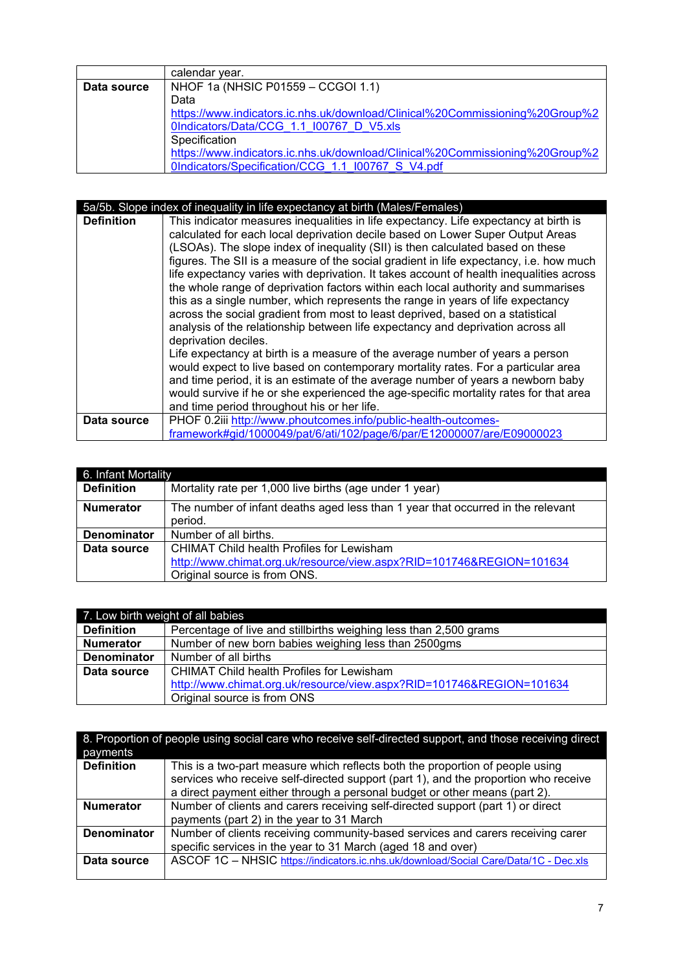|             | calendar vear.                                                               |
|-------------|------------------------------------------------------------------------------|
| Data source | NHOF 1a (NHSIC P01559 - CCGOI 1.1)                                           |
|             | Data                                                                         |
|             | https://www.indicators.ic.nhs.uk/download/Clinical%20Commissioning%20Group%2 |
|             | 0Indicators/Data/CCG 1.1 I00767 D V5.xls                                     |
|             | Specification                                                                |
|             | https://www.indicators.ic.nhs.uk/download/Clinical%20Commissioning%20Group%2 |
|             | OIndicators/Specification/CCG 1.1 I00767 S V4.pdf                            |

|                   | 5a/5b. Slope index of inequality in life expectancy at birth (Males/Females)                                                                                                                                                                                                                                                                                                                                                                                                                                                                                                                                                                                                                                                                                                                                       |
|-------------------|--------------------------------------------------------------------------------------------------------------------------------------------------------------------------------------------------------------------------------------------------------------------------------------------------------------------------------------------------------------------------------------------------------------------------------------------------------------------------------------------------------------------------------------------------------------------------------------------------------------------------------------------------------------------------------------------------------------------------------------------------------------------------------------------------------------------|
| <b>Definition</b> | This indicator measures inequalities in life expectancy. Life expectancy at birth is<br>calculated for each local deprivation decile based on Lower Super Output Areas<br>(LSOAs). The slope index of inequality (SII) is then calculated based on these<br>figures. The SII is a measure of the social gradient in life expectancy, i.e. how much<br>life expectancy varies with deprivation. It takes account of health inequalities across<br>the whole range of deprivation factors within each local authority and summarises<br>this as a single number, which represents the range in years of life expectancy<br>across the social gradient from most to least deprived, based on a statistical<br>analysis of the relationship between life expectancy and deprivation across all<br>deprivation deciles. |
|                   | Life expectancy at birth is a measure of the average number of years a person<br>would expect to live based on contemporary mortality rates. For a particular area<br>and time period, it is an estimate of the average number of years a newborn baby<br>would survive if he or she experienced the age-specific mortality rates for that area<br>and time period throughout his or her life.                                                                                                                                                                                                                                                                                                                                                                                                                     |
| Data source       | PHOF 0.2iii http://www.phoutcomes.info/public-health-outcomes-                                                                                                                                                                                                                                                                                                                                                                                                                                                                                                                                                                                                                                                                                                                                                     |
|                   | framework#gid/1000049/pat/6/ati/102/page/6/par/E12000007/are/E09000023                                                                                                                                                                                                                                                                                                                                                                                                                                                                                                                                                                                                                                                                                                                                             |

| 6. Infant Mortality |                                                                                                                                                   |
|---------------------|---------------------------------------------------------------------------------------------------------------------------------------------------|
| <b>Definition</b>   | Mortality rate per 1,000 live births (age under 1 year)                                                                                           |
| <b>Numerator</b>    | The number of infant deaths aged less than 1 year that occurred in the relevant<br>period.                                                        |
| Denominator         | Number of all births.                                                                                                                             |
| Data source         | CHIMAT Child health Profiles for Lewisham<br>http://www.chimat.org.uk/resource/view.aspx?RID=101746&REGION=101634<br>Original source is from ONS. |

| 7. Low birth weight of all babies |                                                                      |
|-----------------------------------|----------------------------------------------------------------------|
| <b>Definition</b>                 | Percentage of live and stillbirths weighing less than 2,500 grams    |
| <b>Numerator</b>                  | Number of new born babies weighing less than 2500gms                 |
| <b>Denominator</b>                | Number of all births                                                 |
| Data source                       | <b>CHIMAT Child health Profiles for Lewisham</b>                     |
|                                   | http://www.chimat.org.uk/resource/view.aspx?RID=101746&REGION=101634 |
|                                   | Original source is from ONS                                          |

| 8. Proportion of people using social care who receive self-directed support, and those receiving direct |                                                                                                                                                                      |
|---------------------------------------------------------------------------------------------------------|----------------------------------------------------------------------------------------------------------------------------------------------------------------------|
| payments                                                                                                |                                                                                                                                                                      |
| <b>Definition</b>                                                                                       | This is a two-part measure which reflects both the proportion of people using<br>services who receive self-directed support (part 1), and the proportion who receive |
|                                                                                                         | a direct payment either through a personal budget or other means (part 2).                                                                                           |
| <b>Numerator</b>                                                                                        | Number of clients and carers receiving self-directed support (part 1) or direct                                                                                      |
|                                                                                                         | payments (part 2) in the year to 31 March                                                                                                                            |
| <b>Denominator</b>                                                                                      | Number of clients receiving community-based services and carers receiving carer                                                                                      |
|                                                                                                         | specific services in the year to 31 March (aged 18 and over)                                                                                                         |
| Data source                                                                                             | ASCOF 1C - NHSIC https://indicators.ic.nhs.uk/download/Social Care/Data/1C - Dec.xls                                                                                 |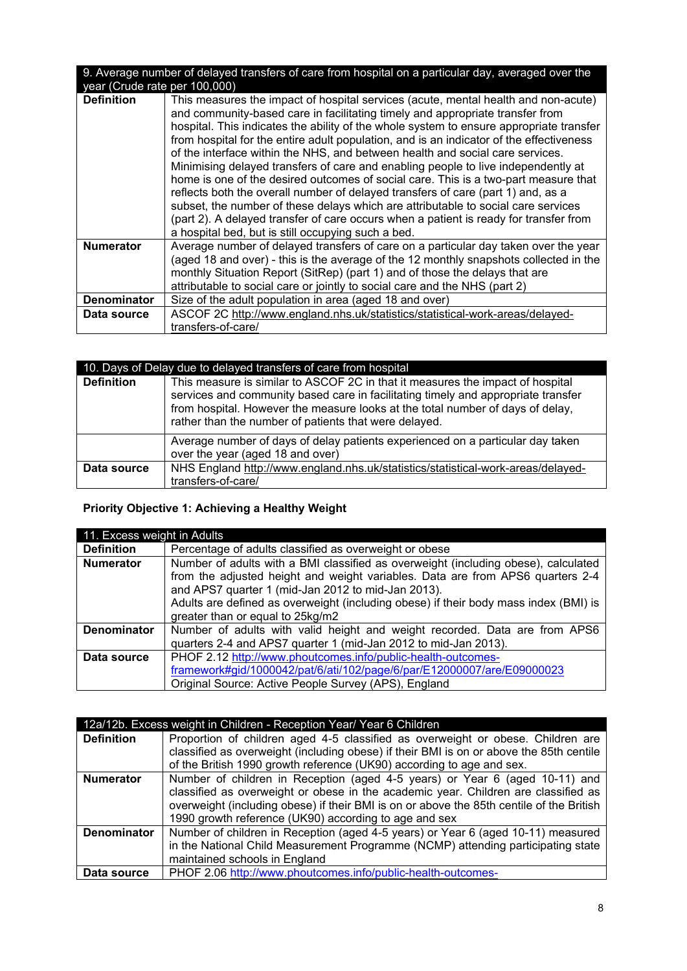| 9. Average number of delayed transfers of care from hospital on a particular day, averaged over the |                                                                                                                                                                                                                                                                                                                                                                                                                                                                                                                                                                                                                                                                                                                                                                                                                                                                                                                                                |  |
|-----------------------------------------------------------------------------------------------------|------------------------------------------------------------------------------------------------------------------------------------------------------------------------------------------------------------------------------------------------------------------------------------------------------------------------------------------------------------------------------------------------------------------------------------------------------------------------------------------------------------------------------------------------------------------------------------------------------------------------------------------------------------------------------------------------------------------------------------------------------------------------------------------------------------------------------------------------------------------------------------------------------------------------------------------------|--|
| year (Crude rate per 100,000)                                                                       |                                                                                                                                                                                                                                                                                                                                                                                                                                                                                                                                                                                                                                                                                                                                                                                                                                                                                                                                                |  |
| <b>Definition</b>                                                                                   | This measures the impact of hospital services (acute, mental health and non-acute)<br>and community-based care in facilitating timely and appropriate transfer from<br>hospital. This indicates the ability of the whole system to ensure appropriate transfer<br>from hospital for the entire adult population, and is an indicator of the effectiveness<br>of the interface within the NHS, and between health and social care services.<br>Minimising delayed transfers of care and enabling people to live independently at<br>home is one of the desired outcomes of social care. This is a two-part measure that<br>reflects both the overall number of delayed transfers of care (part 1) and, as a<br>subset, the number of these delays which are attributable to social care services<br>(part 2). A delayed transfer of care occurs when a patient is ready for transfer from<br>a hospital bed, but is still occupying such a bed. |  |
| <b>Numerator</b>                                                                                    | Average number of delayed transfers of care on a particular day taken over the year                                                                                                                                                                                                                                                                                                                                                                                                                                                                                                                                                                                                                                                                                                                                                                                                                                                            |  |
|                                                                                                     | (aged 18 and over) - this is the average of the 12 monthly snapshots collected in the                                                                                                                                                                                                                                                                                                                                                                                                                                                                                                                                                                                                                                                                                                                                                                                                                                                          |  |
|                                                                                                     | monthly Situation Report (SitRep) (part 1) and of those the delays that are                                                                                                                                                                                                                                                                                                                                                                                                                                                                                                                                                                                                                                                                                                                                                                                                                                                                    |  |
|                                                                                                     | attributable to social care or jointly to social care and the NHS (part 2)                                                                                                                                                                                                                                                                                                                                                                                                                                                                                                                                                                                                                                                                                                                                                                                                                                                                     |  |
| <b>Denominator</b>                                                                                  | Size of the adult population in area (aged 18 and over)                                                                                                                                                                                                                                                                                                                                                                                                                                                                                                                                                                                                                                                                                                                                                                                                                                                                                        |  |
| Data source                                                                                         | ASCOF 2C http://www.england.nhs.uk/statistics/statistical-work-areas/delayed-                                                                                                                                                                                                                                                                                                                                                                                                                                                                                                                                                                                                                                                                                                                                                                                                                                                                  |  |
|                                                                                                     | transfers-of-care/                                                                                                                                                                                                                                                                                                                                                                                                                                                                                                                                                                                                                                                                                                                                                                                                                                                                                                                             |  |

| 10. Days of Delay due to delayed transfers of care from hospital |                                                                                                                                                                                                                                                                                                                |  |
|------------------------------------------------------------------|----------------------------------------------------------------------------------------------------------------------------------------------------------------------------------------------------------------------------------------------------------------------------------------------------------------|--|
| <b>Definition</b>                                                | This measure is similar to ASCOF 2C in that it measures the impact of hospital<br>services and community based care in facilitating timely and appropriate transfer<br>from hospital. However the measure looks at the total number of days of delay,<br>rather than the number of patients that were delayed. |  |
|                                                                  | Average number of days of delay patients experienced on a particular day taken<br>over the year (aged 18 and over)                                                                                                                                                                                             |  |
| Data source                                                      | NHS England http://www.england.nhs.uk/statistics/statistical-work-areas/delayed-<br>transfers-of-care/                                                                                                                                                                                                         |  |

# **Priority Objective 1: Achieving a Healthy Weight**

| 11. Excess weight in Adults |                                                                                      |  |
|-----------------------------|--------------------------------------------------------------------------------------|--|
| <b>Definition</b>           | Percentage of adults classified as overweight or obese                               |  |
| <b>Numerator</b>            | Number of adults with a BMI classified as overweight (including obese), calculated   |  |
|                             | from the adjusted height and weight variables. Data are from APS6 quarters 2-4       |  |
|                             | and APS7 quarter 1 (mid-Jan 2012 to mid-Jan 2013).                                   |  |
|                             | Adults are defined as overweight (including obese) if their body mass index (BMI) is |  |
|                             | greater than or equal to 25kg/m2                                                     |  |
| <b>Denominator</b>          | Number of adults with valid height and weight recorded. Data are from APS6           |  |
|                             | quarters 2-4 and APS7 quarter 1 (mid-Jan 2012 to mid-Jan 2013).                      |  |
| Data source                 | PHOF 2.12 http://www.phoutcomes.info/public-health-outcomes-                         |  |
|                             | framework#gid/1000042/pat/6/ati/102/page/6/par/E12000007/are/E09000023               |  |
|                             | Original Source: Active People Survey (APS), England                                 |  |

|                    | 12a/12b. Excess weight in Children - Reception Year/ Year 6 Children                     |
|--------------------|------------------------------------------------------------------------------------------|
| <b>Definition</b>  | Proportion of children aged 4-5 classified as overweight or obese. Children are          |
|                    | classified as overweight (including obese) if their BMI is on or above the 85th centile  |
|                    | of the British 1990 growth reference (UK90) according to age and sex.                    |
| <b>Numerator</b>   | Number of children in Reception (aged 4-5 years) or Year 6 (aged 10-11) and              |
|                    | classified as overweight or obese in the academic year. Children are classified as       |
|                    | overweight (including obese) if their BMI is on or above the 85th centile of the British |
|                    | 1990 growth reference (UK90) according to age and sex                                    |
| <b>Denominator</b> | Number of children in Reception (aged 4-5 years) or Year 6 (aged 10-11) measured         |
|                    | in the National Child Measurement Programme (NCMP) attending participating state         |
|                    | maintained schools in England                                                            |
| Data source        | PHOF 2.06 http://www.phoutcomes.info/public-health-outcomes-                             |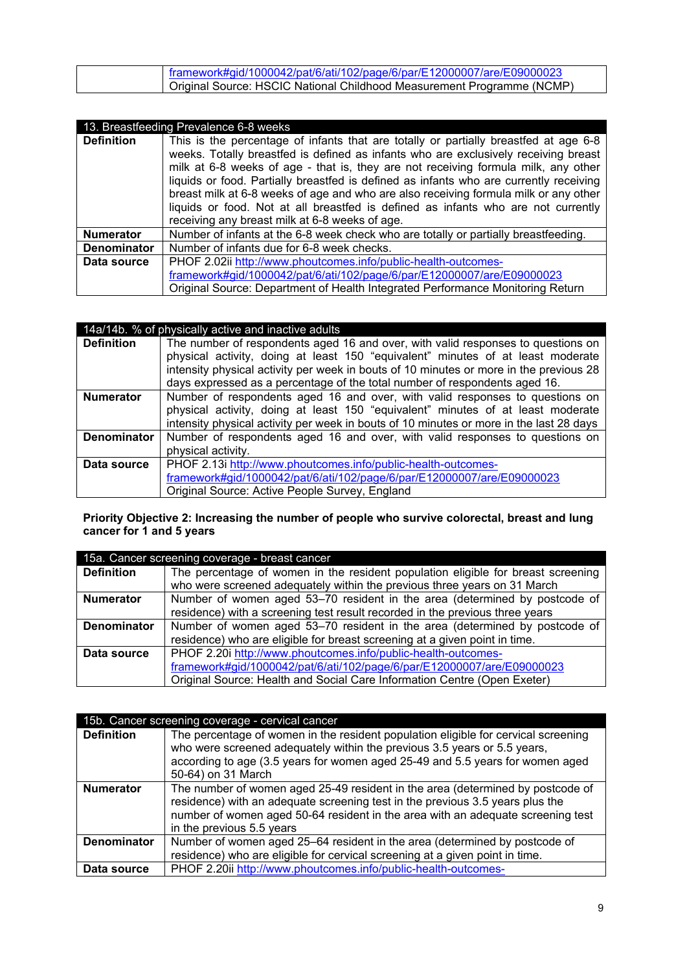| framework#gid/1000042/pat/6/ati/102/page/6/par/E12000007/are/E09000023 |  |
|------------------------------------------------------------------------|--|
|                                                                        |  |
|                                                                        |  |
| Original Source: HSCIC National Childhood Measurement Programme (NCMP) |  |

|                    | 13. Breastfeeding Prevalence 6-8 weeks                                                                                                                                                                                                                                                                                                                                                                                                                                                                                                                                                     |
|--------------------|--------------------------------------------------------------------------------------------------------------------------------------------------------------------------------------------------------------------------------------------------------------------------------------------------------------------------------------------------------------------------------------------------------------------------------------------------------------------------------------------------------------------------------------------------------------------------------------------|
| <b>Definition</b>  | This is the percentage of infants that are totally or partially breastfed at age 6-8<br>weeks. Totally breastfed is defined as infants who are exclusively receiving breast<br>milk at 6-8 weeks of age - that is, they are not receiving formula milk, any other<br>liquids or food. Partially breastfed is defined as infants who are currently receiving<br>breast milk at 6-8 weeks of age and who are also receiving formula milk or any other<br>liquids or food. Not at all breastfed is defined as infants who are not currently<br>receiving any breast milk at 6-8 weeks of age. |
| <b>Numerator</b>   | Number of infants at the 6-8 week check who are totally or partially breastfeeding.                                                                                                                                                                                                                                                                                                                                                                                                                                                                                                        |
| <b>Denominator</b> | Number of infants due for 6-8 week checks.                                                                                                                                                                                                                                                                                                                                                                                                                                                                                                                                                 |
| Data source        | PHOF 2.02ii http://www.phoutcomes.info/public-health-outcomes-<br>framework#gid/1000042/pat/6/ati/102/page/6/par/E12000007/are/E09000023<br>Original Source: Department of Health Integrated Performance Monitoring Return                                                                                                                                                                                                                                                                                                                                                                 |

|                    | 14a/14b. % of physically active and inactive adults                                     |
|--------------------|-----------------------------------------------------------------------------------------|
| <b>Definition</b>  | The number of respondents aged 16 and over, with valid responses to questions on        |
|                    | physical activity, doing at least 150 "equivalent" minutes of at least moderate         |
|                    | intensity physical activity per week in bouts of 10 minutes or more in the previous 28  |
|                    | days expressed as a percentage of the total number of respondents aged 16.              |
| <b>Numerator</b>   | Number of respondents aged 16 and over, with valid responses to questions on            |
|                    | physical activity, doing at least 150 "equivalent" minutes of at least moderate         |
|                    | intensity physical activity per week in bouts of 10 minutes or more in the last 28 days |
| <b>Denominator</b> | Number of respondents aged 16 and over, with valid responses to questions on            |
|                    | physical activity.                                                                      |
| Data source        | PHOF 2.13i http://www.phoutcomes.info/public-health-outcomes-                           |
|                    | framework#gid/1000042/pat/6/ati/102/page/6/par/E12000007/are/E09000023                  |
|                    | Original Source: Active People Survey, England                                          |

**Priority Objective 2: Increasing the number of people who survive colorectal, breast and lung cancer for 1 and 5 years**

| 15a. Cancer screening coverage - breast cancer |                                                                                  |  |
|------------------------------------------------|----------------------------------------------------------------------------------|--|
| <b>Definition</b>                              | The percentage of women in the resident population eligible for breast screening |  |
|                                                | who were screened adequately within the previous three years on 31 March         |  |
| <b>Numerator</b>                               | Number of women aged 53–70 resident in the area (determined by postcode of       |  |
|                                                | residence) with a screening test result recorded in the previous three years     |  |
| <b>Denominator</b>                             | Number of women aged 53–70 resident in the area (determined by postcode of       |  |
|                                                | residence) who are eligible for breast screening at a given point in time.       |  |
| Data source                                    | PHOF 2.20i http://www.phoutcomes.info/public-health-outcomes-                    |  |
|                                                | framework#gid/1000042/pat/6/ati/102/page/6/par/E12000007/are/E09000023           |  |
|                                                | Original Source: Health and Social Care Information Centre (Open Exeter)         |  |

| 15b. Cancer screening coverage - cervical cancer |                                                                                                                                                                                                                                                                                 |  |
|--------------------------------------------------|---------------------------------------------------------------------------------------------------------------------------------------------------------------------------------------------------------------------------------------------------------------------------------|--|
| <b>Definition</b>                                | The percentage of women in the resident population eligible for cervical screening<br>who were screened adequately within the previous 3.5 years or 5.5 years,<br>according to age (3.5 years for women aged 25-49 and 5.5 years for women aged<br>50-64) on 31 March           |  |
| <b>Numerator</b>                                 | The number of women aged 25-49 resident in the area (determined by postcode of<br>residence) with an adequate screening test in the previous 3.5 years plus the<br>number of women aged 50-64 resident in the area with an adequate screening test<br>in the previous 5.5 years |  |
| Denominator                                      | Number of women aged 25-64 resident in the area (determined by postcode of<br>residence) who are eligible for cervical screening at a given point in time.                                                                                                                      |  |
| Data source                                      | PHOF 2.20ii http://www.phoutcomes.info/public-health-outcomes-                                                                                                                                                                                                                  |  |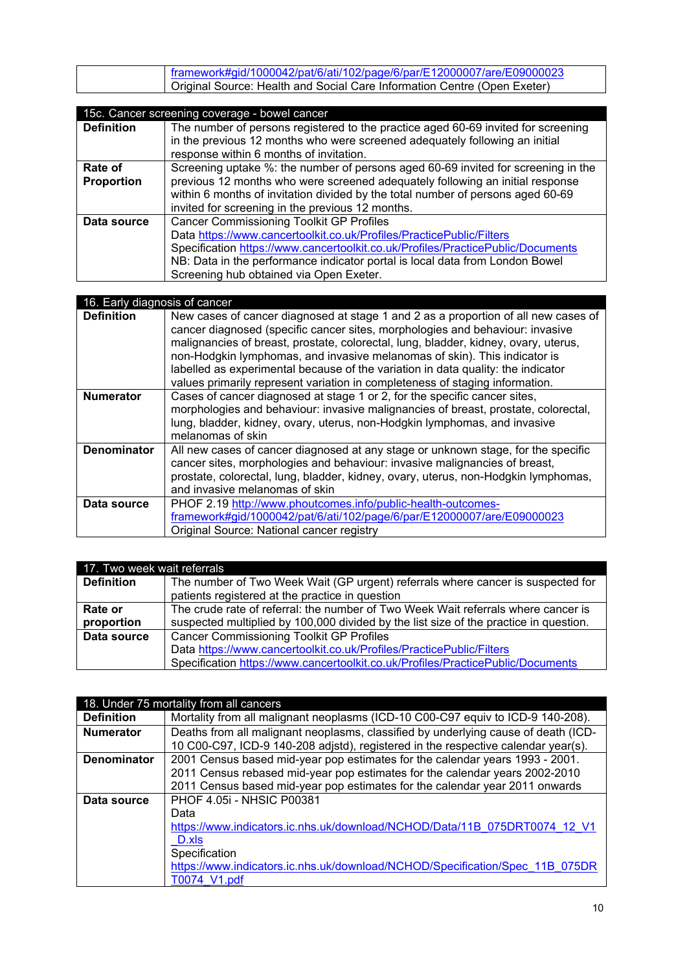| framework#gid/1000042/pat/6/ati/102/page/6/par/E12000007/are/E09000023   |
|--------------------------------------------------------------------------|
| Original Source: Health and Social Care Information Centre (Open Exeter) |
|                                                                          |

|  | 15c. Cancer screening coverage - bowel cancer |  |
|--|-----------------------------------------------|--|
|  |                                               |  |

| Too. Odnoci sorooning coverage - bower cancer |                                                                                   |
|-----------------------------------------------|-----------------------------------------------------------------------------------|
| <b>Definition</b>                             | The number of persons registered to the practice aged 60-69 invited for screening |
|                                               | in the previous 12 months who were screened adequately following an initial       |
|                                               | response within 6 months of invitation.                                           |
| Rate of                                       | Screening uptake %: the number of persons aged 60-69 invited for screening in the |
| Proportion                                    | previous 12 months who were screened adequately following an initial response     |
|                                               | within 6 months of invitation divided by the total number of persons aged 60-69   |
|                                               | invited for screening in the previous 12 months.                                  |
| Data source                                   | <b>Cancer Commissioning Toolkit GP Profiles</b>                                   |
|                                               |                                                                                   |
|                                               | Data https://www.cancertoolkit.co.uk/Profiles/PracticePublic/Filters              |
|                                               | Specification https://www.cancertoolkit.co.uk/Profiles/PracticePublic/Documents   |
|                                               | NB: Data in the performance indicator portal is local data from London Bowel      |
|                                               | Screening hub obtained via Open Exeter.                                           |

| 16. Early diagnosis of cancer |                                                                                                                                                                                                                                                                                                                                                                                                                                                                                                             |  |
|-------------------------------|-------------------------------------------------------------------------------------------------------------------------------------------------------------------------------------------------------------------------------------------------------------------------------------------------------------------------------------------------------------------------------------------------------------------------------------------------------------------------------------------------------------|--|
| <b>Definition</b>             | New cases of cancer diagnosed at stage 1 and 2 as a proportion of all new cases of<br>cancer diagnosed (specific cancer sites, morphologies and behaviour: invasive<br>malignancies of breast, prostate, colorectal, lung, bladder, kidney, ovary, uterus,<br>non-Hodgkin lymphomas, and invasive melanomas of skin). This indicator is<br>labelled as experimental because of the variation in data quality: the indicator<br>values primarily represent variation in completeness of staging information. |  |
| <b>Numerator</b>              | Cases of cancer diagnosed at stage 1 or 2, for the specific cancer sites,<br>morphologies and behaviour: invasive malignancies of breast, prostate, colorectal,<br>lung, bladder, kidney, ovary, uterus, non-Hodgkin lymphomas, and invasive<br>melanomas of skin                                                                                                                                                                                                                                           |  |
| <b>Denominator</b>            | All new cases of cancer diagnosed at any stage or unknown stage, for the specific<br>cancer sites, morphologies and behaviour: invasive malignancies of breast,<br>prostate, colorectal, lung, bladder, kidney, ovary, uterus, non-Hodgkin lymphomas,<br>and invasive melanomas of skin                                                                                                                                                                                                                     |  |
| Data source                   | PHOF 2.19 http://www.phoutcomes.info/public-health-outcomes-<br>framework#gid/1000042/pat/6/ati/102/page/6/par/E12000007/are/E09000023<br>Original Source: National cancer registry                                                                                                                                                                                                                                                                                                                         |  |

| 17. Two week wait referrals |                                                                                       |  |
|-----------------------------|---------------------------------------------------------------------------------------|--|
| <b>Definition</b>           | The number of Two Week Wait (GP urgent) referrals where cancer is suspected for       |  |
|                             | patients registered at the practice in question                                       |  |
| Rate or                     | The crude rate of referral: the number of Two Week Wait referrals where cancer is     |  |
| proportion                  | suspected multiplied by 100,000 divided by the list size of the practice in question. |  |
| Data source                 | <b>Cancer Commissioning Toolkit GP Profiles</b>                                       |  |
|                             | Data https://www.cancertoolkit.co.uk/Profiles/PracticePublic/Filters                  |  |
|                             | Specification https://www.cancertoolkit.co.uk/Profiles/PracticePublic/Documents       |  |

|                    | 18. Under 75 mortality from all cancers                                            |
|--------------------|------------------------------------------------------------------------------------|
| <b>Definition</b>  | Mortality from all malignant neoplasms (ICD-10 C00-C97 equiv to ICD-9 140-208).    |
| <b>Numerator</b>   | Deaths from all malignant neoplasms, classified by underlying cause of death (ICD- |
|                    | 10 C00-C97, ICD-9 140-208 adjstd), registered in the respective calendar year(s).  |
| <b>Denominator</b> | 2001 Census based mid-year pop estimates for the calendar years 1993 - 2001.       |
|                    | 2011 Census rebased mid-year pop estimates for the calendar years 2002-2010        |
|                    | 2011 Census based mid-year pop estimates for the calendar year 2011 onwards        |
| Data source        | <b>PHOF 4.05i - NHSIC P00381</b>                                                   |
|                    | Data                                                                               |
|                    | https://www.indicators.ic.nhs.uk/download/NCHOD/Data/11B 075DRT0074 12 V1          |
|                    | D.xls                                                                              |
|                    | Specification                                                                      |
|                    | https://www.indicators.ic.nhs.uk/download/NCHOD/Specification/Spec 11B 075DR       |
|                    | T0074 V1.pdf                                                                       |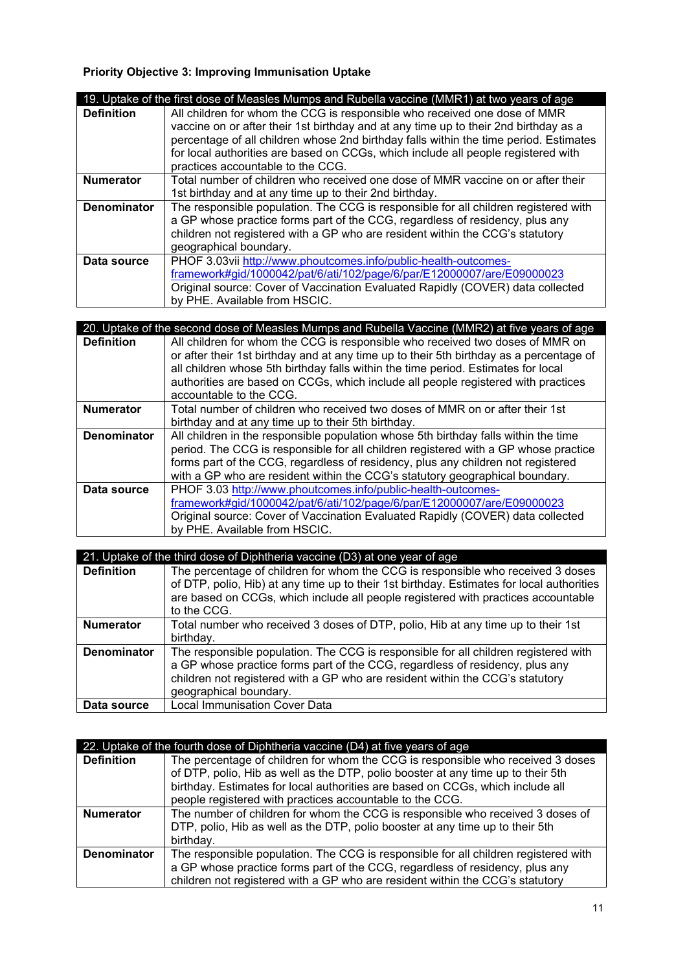# **Priority Objective 3: Improving Immunisation Uptake**

|                    | 19. Uptake of the first dose of Measles Mumps and Rubella vaccine (MMR1) at two years of age |
|--------------------|----------------------------------------------------------------------------------------------|
| <b>Definition</b>  | All children for whom the CCG is responsible who received one dose of MMR                    |
|                    | vaccine on or after their 1st birthday and at any time up to their 2nd birthday as a         |
|                    | percentage of all children whose 2nd birthday falls within the time period. Estimates        |
|                    | for local authorities are based on CCGs, which include all people registered with            |
|                    | practices accountable to the CCG.                                                            |
| <b>Numerator</b>   | Total number of children who received one dose of MMR vaccine on or after their              |
|                    | 1st birthday and at any time up to their 2nd birthday.                                       |
| <b>Denominator</b> | The responsible population. The CCG is responsible for all children registered with          |
|                    | a GP whose practice forms part of the CCG, regardless of residency, plus any                 |
|                    | children not registered with a GP who are resident within the CCG's statutory                |
|                    | geographical boundary.                                                                       |
| Data source        | PHOF 3.03vii http://www.phoutcomes.info/public-health-outcomes-                              |
|                    | framework#gid/1000042/pat/6/ati/102/page/6/par/E12000007/are/E09000023                       |
|                    | Original source: Cover of Vaccination Evaluated Rapidly (COVER) data collected               |
|                    | by PHE. Available from HSCIC.                                                                |

|                    | 20. Uptake of the second dose of Measles Mumps and Rubella Vaccine (MMR2) at five years of age |
|--------------------|------------------------------------------------------------------------------------------------|
| <b>Definition</b>  | All children for whom the CCG is responsible who received two doses of MMR on                  |
|                    | or after their 1st birthday and at any time up to their 5th birthday as a percentage of        |
|                    | all children whose 5th birthday falls within the time period. Estimates for local              |
|                    | authorities are based on CCGs, which include all people registered with practices              |
|                    | accountable to the CCG.                                                                        |
| <b>Numerator</b>   | Total number of children who received two doses of MMR on or after their 1st                   |
|                    | birthday and at any time up to their 5th birthday.                                             |
| <b>Denominator</b> | All children in the responsible population whose 5th birthday falls within the time            |
|                    | period. The CCG is responsible for all children registered with a GP whose practice            |
|                    | forms part of the CCG, regardless of residency, plus any children not registered               |
|                    | with a GP who are resident within the CCG's statutory geographical boundary.                   |
| Data source        | PHOF 3.03 http://www.phoutcomes.info/public-health-outcomes-                                   |
|                    | framework#gid/1000042/pat/6/ati/102/page/6/par/E12000007/are/E09000023                         |
|                    | Original source: Cover of Vaccination Evaluated Rapidly (COVER) data collected                 |
|                    | by PHE. Available from HSCIC.                                                                  |

|                    | 21. Uptake of the third dose of Diphtheria vaccine (D3) at one year of age                |
|--------------------|-------------------------------------------------------------------------------------------|
| <b>Definition</b>  | The percentage of children for whom the CCG is responsible who received 3 doses           |
|                    | of DTP, polio, Hib) at any time up to their 1st birthday. Estimates for local authorities |
|                    | are based on CCGs, which include all people registered with practices accountable         |
|                    | to the CCG.                                                                               |
| <b>Numerator</b>   | Total number who received 3 doses of DTP, polio, Hib at any time up to their 1st          |
|                    | birthday.                                                                                 |
| <b>Denominator</b> | The responsible population. The CCG is responsible for all children registered with       |
|                    | a GP whose practice forms part of the CCG, regardless of residency, plus any              |
|                    | children not registered with a GP who are resident within the CCG's statutory             |
|                    | geographical boundary.                                                                    |
| Data source        | <b>Local Immunisation Cover Data</b>                                                      |

|                    | 22. Uptake of the fourth dose of Diphtheria vaccine (D4) at five years of age                                                                                       |
|--------------------|---------------------------------------------------------------------------------------------------------------------------------------------------------------------|
| <b>Definition</b>  | The percentage of children for whom the CCG is responsible who received 3 doses<br>of DTP, polio, Hib as well as the DTP, polio booster at any time up to their 5th |
|                    | birthday. Estimates for local authorities are based on CCGs, which include all                                                                                      |
|                    | people registered with practices accountable to the CCG.                                                                                                            |
| <b>Numerator</b>   | The number of children for whom the CCG is responsible who received 3 doses of                                                                                      |
|                    | DTP, polio, Hib as well as the DTP, polio booster at any time up to their 5th                                                                                       |
|                    | birthday.                                                                                                                                                           |
| <b>Denominator</b> | The responsible population. The CCG is responsible for all children registered with                                                                                 |
|                    | a GP whose practice forms part of the CCG, regardless of residency, plus any                                                                                        |
|                    | children not registered with a GP who are resident within the CCG's statutory                                                                                       |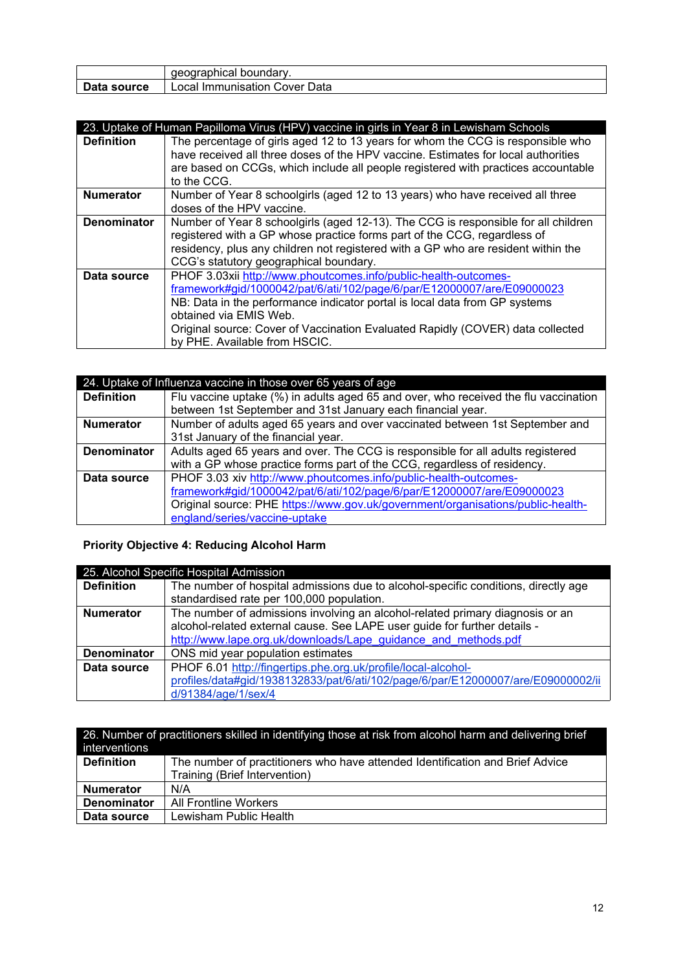|             | aeographical boundary.        |
|-------------|-------------------------------|
| Data source | Local Immunisation Cover Data |

|                    | 23. Uptake of Human Papilloma Virus (HPV) vaccine in girls in Year 8 in Lewisham Schools                                                                                                                                                                                                                                                                             |
|--------------------|----------------------------------------------------------------------------------------------------------------------------------------------------------------------------------------------------------------------------------------------------------------------------------------------------------------------------------------------------------------------|
| <b>Definition</b>  | The percentage of girls aged 12 to 13 years for whom the CCG is responsible who<br>have received all three doses of the HPV vaccine. Estimates for local authorities                                                                                                                                                                                                 |
|                    | are based on CCGs, which include all people registered with practices accountable<br>to the CCG.                                                                                                                                                                                                                                                                     |
| <b>Numerator</b>   | Number of Year 8 schoolgirls (aged 12 to 13 years) who have received all three<br>doses of the HPV vaccine.                                                                                                                                                                                                                                                          |
| <b>Denominator</b> | Number of Year 8 schoolgirls (aged 12-13). The CCG is responsible for all children<br>registered with a GP whose practice forms part of the CCG, regardless of<br>residency, plus any children not registered with a GP who are resident within the<br>CCG's statutory geographical boundary.                                                                        |
| Data source        | PHOF 3.03xii http://www.phoutcomes.info/public-health-outcomes-<br>framework#gid/1000042/pat/6/ati/102/page/6/par/E12000007/are/E09000023<br>NB: Data in the performance indicator portal is local data from GP systems<br>obtained via EMIS Web.<br>Original source: Cover of Vaccination Evaluated Rapidly (COVER) data collected<br>by PHE. Available from HSCIC. |

|                    | 24. Uptake of Influenza vaccine in those over 65 years of age                       |
|--------------------|-------------------------------------------------------------------------------------|
| <b>Definition</b>  | Flu vaccine uptake (%) in adults aged 65 and over, who received the flu vaccination |
|                    | between 1st September and 31st January each financial year.                         |
| <b>Numerator</b>   | Number of adults aged 65 years and over vaccinated between 1st September and        |
|                    | 31st January of the financial year.                                                 |
| <b>Denominator</b> | Adults aged 65 years and over. The CCG is responsible for all adults registered     |
|                    | with a GP whose practice forms part of the CCG, regardless of residency.            |
| Data source        | PHOF 3.03 xiv http://www.phoutcomes.info/public-health-outcomes-                    |
|                    | framework#gid/1000042/pat/6/ati/102/page/6/par/E12000007/are/E09000023              |
|                    | Original source: PHE https://www.gov.uk/government/organisations/public-health-     |
|                    | england/series/vaccine-uptake                                                       |

# **Priority Objective 4: Reducing Alcohol Harm**

| 25. Alcohol Specific Hospital Admission |                                                                                    |
|-----------------------------------------|------------------------------------------------------------------------------------|
| <b>Definition</b>                       | The number of hospital admissions due to alcohol-specific conditions, directly age |
|                                         | standardised rate per 100,000 population.                                          |
| <b>Numerator</b>                        | The number of admissions involving an alcohol-related primary diagnosis or an      |
|                                         | alcohol-related external cause. See LAPE user guide for further details -          |
|                                         | http://www.lape.org.uk/downloads/Lape guidance and methods.pdf                     |
| <b>Denominator</b>                      | ONS mid year population estimates                                                  |
| Data source                             | PHOF 6.01 http://fingertips.phe.org.uk/profile/local-alcohol-                      |
|                                         | profiles/data#gid/1938132833/pat/6/ati/102/page/6/par/E12000007/are/E09000002/ii   |
|                                         | d/91384/age/1/sex/4                                                                |

| 26. Number of practitioners skilled in identifying those at risk from alcohol harm and delivering brief |                                                                               |
|---------------------------------------------------------------------------------------------------------|-------------------------------------------------------------------------------|
| interventions                                                                                           |                                                                               |
| <b>Definition</b>                                                                                       | The number of practitioners who have attended Identification and Brief Advice |
|                                                                                                         | Training (Brief Intervention)                                                 |
| <b>Numerator</b>                                                                                        | N/A                                                                           |
| <b>Denominator</b>                                                                                      | All Frontline Workers                                                         |
| Data source                                                                                             | Lewisham Public Health                                                        |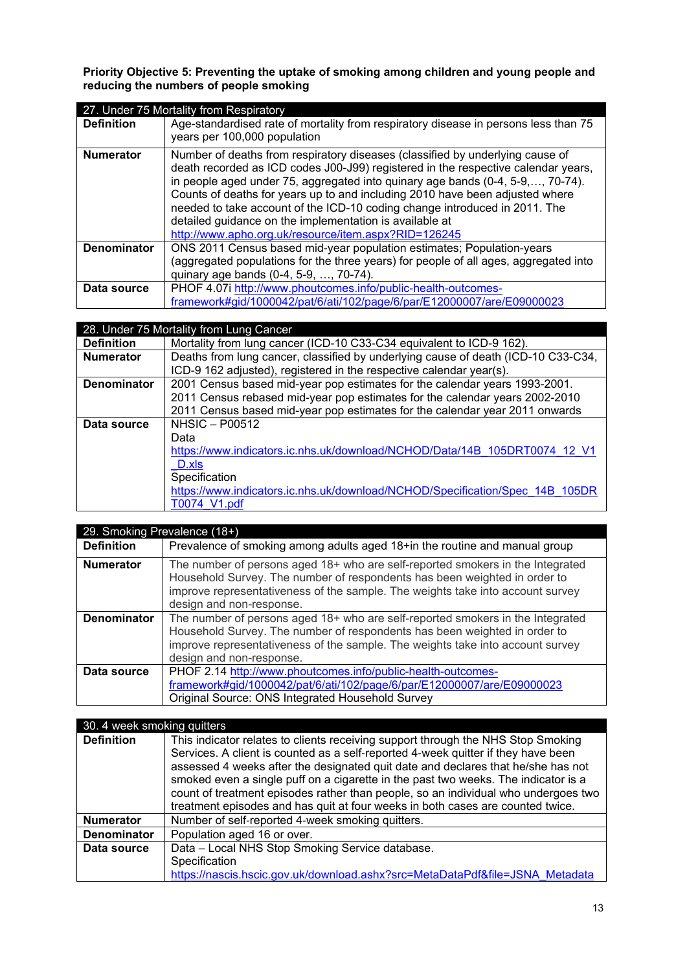#### **Priority Objective 5: Preventing the uptake of smoking among children and young people and reducing the numbers of people smoking**

|                    | 27. Under 75 Mortality from Respiratory                                                                                                                                                                                                                                                                                                                                                                                                                                                                                               |
|--------------------|---------------------------------------------------------------------------------------------------------------------------------------------------------------------------------------------------------------------------------------------------------------------------------------------------------------------------------------------------------------------------------------------------------------------------------------------------------------------------------------------------------------------------------------|
| <b>Definition</b>  | Age-standardised rate of mortality from respiratory disease in persons less than 75<br>years per 100,000 population                                                                                                                                                                                                                                                                                                                                                                                                                   |
| <b>Numerator</b>   | Number of deaths from respiratory diseases (classified by underlying cause of<br>death recorded as ICD codes J00-J99) registered in the respective calendar years,<br>in people aged under 75, aggregated into quinary age bands (0-4, 5-9,, 70-74).<br>Counts of deaths for years up to and including 2010 have been adjusted where<br>needed to take account of the ICD-10 coding change introduced in 2011. The<br>detailed guidance on the implementation is available at<br>http://www.apho.org.uk/resource/item.aspx?RID=126245 |
| <b>Denominator</b> | ONS 2011 Census based mid-year population estimates; Population-years<br>(aggregated populations for the three years) for people of all ages, aggregated into<br>quinary age bands (0-4, 5-9, , 70-74).                                                                                                                                                                                                                                                                                                                               |
| Data source        | PHOF 4.07i http://www.phoutcomes.info/public-health-outcomes-<br>framework#gid/1000042/pat/6/ati/102/page/6/par/E12000007/are/E09000023                                                                                                                                                                                                                                                                                                                                                                                               |

|                    | 28. Under 75 Mortality from Lung Cancer                                                                                                                                                                                                  |
|--------------------|------------------------------------------------------------------------------------------------------------------------------------------------------------------------------------------------------------------------------------------|
| <b>Definition</b>  | Mortality from lung cancer (ICD-10 C33-C34 equivalent to ICD-9 162).                                                                                                                                                                     |
| <b>Numerator</b>   | Deaths from lung cancer, classified by underlying cause of death (ICD-10 C33-C34,<br>ICD-9 162 adjusted), registered in the respective calendar year(s).                                                                                 |
| <b>Denominator</b> | 2001 Census based mid-year pop estimates for the calendar years 1993-2001.<br>2011 Census rebased mid-year pop estimates for the calendar years 2002-2010<br>2011 Census based mid-year pop estimates for the calendar year 2011 onwards |
| Data source        | $NHSIC - PO0512$<br>Data<br>https://www.indicators.ic.nhs.uk/download/NCHOD/Data/14B 105DRT0074 12 V1<br>D.xls<br>Specification<br>https://www.indicators.ic.nhs.uk/download/NCHOD/Specification/Spec 14B 105DR<br>T0074 V1.pdf          |

| 29. Smoking Prevalence (18+) |                                                                                                                                                                                                                                                                           |
|------------------------------|---------------------------------------------------------------------------------------------------------------------------------------------------------------------------------------------------------------------------------------------------------------------------|
| <b>Definition</b>            | Prevalence of smoking among adults aged 18+in the routine and manual group                                                                                                                                                                                                |
| <b>Numerator</b>             | The number of persons aged 18+ who are self-reported smokers in the Integrated<br>Household Survey. The number of respondents has been weighted in order to<br>improve representativeness of the sample. The weights take into account survey<br>design and non-response. |
| <b>Denominator</b>           | The number of persons aged 18+ who are self-reported smokers in the Integrated<br>Household Survey. The number of respondents has been weighted in order to<br>improve representativeness of the sample. The weights take into account survey<br>design and non-response. |
| Data source                  | PHOF 2.14 http://www.phoutcomes.info/public-health-outcomes-<br>framework#gid/1000042/pat/6/ati/102/page/6/par/E12000007/are/E09000023<br>Original Source: ONS Integrated Household Survey                                                                                |

| 30. 4 week smoking quitters |                                                                                    |
|-----------------------------|------------------------------------------------------------------------------------|
| <b>Definition</b>           | This indicator relates to clients receiving support through the NHS Stop Smoking   |
|                             | Services. A client is counted as a self-reported 4-week quitter if they have been  |
|                             | assessed 4 weeks after the designated quit date and declares that he/she has not   |
|                             | smoked even a single puff on a cigarette in the past two weeks. The indicator is a |
|                             | count of treatment episodes rather than people, so an individual who undergoes two |
|                             | treatment episodes and has quit at four weeks in both cases are counted twice.     |
| <b>Numerator</b>            | Number of self-reported 4-week smoking quitters.                                   |
| <b>Denominator</b>          | Population aged 16 or over.                                                        |
| Data source                 | Data - Local NHS Stop Smoking Service database.                                    |
|                             | Specification                                                                      |
|                             | https://nascis.hscic.gov.uk/download.ashx?src=MetaDataPdf&file=JSNA Metadata       |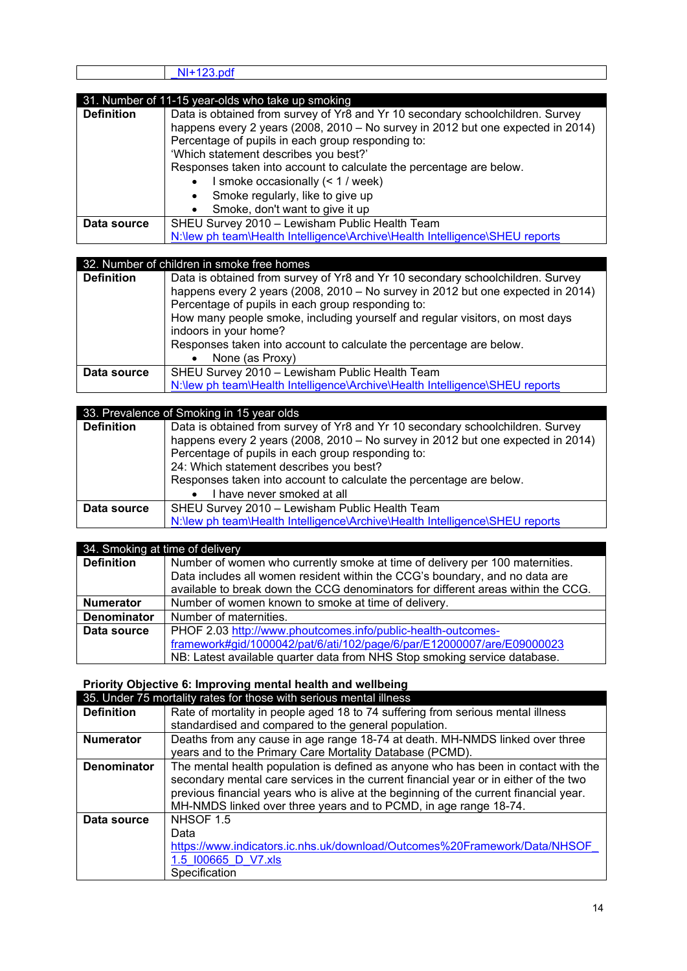|                   | 31. Number of 11-15 year-olds who take up smoking                               |
|-------------------|---------------------------------------------------------------------------------|
| <b>Definition</b> | Data is obtained from survey of Yr8 and Yr 10 secondary schoolchildren. Survey  |
|                   | happens every 2 years (2008, 2010 – No survey in 2012 but one expected in 2014) |
|                   | Percentage of pupils in each group responding to:                               |
|                   | 'Which statement describes you best?'                                           |
|                   | Responses taken into account to calculate the percentage are below.             |
|                   | I smoke occasionally (< 1 / week)                                               |
|                   | Smoke regularly, like to give up                                                |
|                   | Smoke, don't want to give it up                                                 |
| Data source       | SHEU Survey 2010 - Lewisham Public Health Team                                  |
|                   | N:\lew ph team\Health Intelligence\Archive\Health Intelligence\SHEU reports     |

| 32. Number of children in smoke free homes |                                                                                                                                                                                                                                                                                                                                 |
|--------------------------------------------|---------------------------------------------------------------------------------------------------------------------------------------------------------------------------------------------------------------------------------------------------------------------------------------------------------------------------------|
| <b>Definition</b>                          | Data is obtained from survey of Yr8 and Yr 10 secondary schoolchildren. Survey<br>happens every 2 years (2008, 2010 – No survey in 2012 but one expected in 2014)<br>Percentage of pupils in each group responding to:<br>How many people smoke, including yourself and regular visitors, on most days<br>indoors in your home? |
|                                            | Responses taken into account to calculate the percentage are below.<br>None (as Proxy)<br>$\bullet$                                                                                                                                                                                                                             |
| Data source                                | SHEU Survey 2010 - Lewisham Public Health Team<br>N:\lew ph team\Health Intelligence\Archive\Health Intelligence\SHEU reports                                                                                                                                                                                                   |

| 33. Prevalence of Smoking in 15 year olds |                                                                                 |
|-------------------------------------------|---------------------------------------------------------------------------------|
| <b>Definition</b>                         | Data is obtained from survey of Yr8 and Yr 10 secondary schoolchildren. Survey  |
|                                           | happens every 2 years (2008, 2010 – No survey in 2012 but one expected in 2014) |
|                                           | Percentage of pupils in each group responding to:                               |
|                                           | 24: Which statement describes you best?                                         |
|                                           | Responses taken into account to calculate the percentage are below.             |
|                                           | I have never smoked at all                                                      |
| Data source                               | SHEU Survey 2010 - Lewisham Public Health Team                                  |
|                                           | N:\lew ph team\Health Intelligence\Archive\Health Intelligence\SHEU reports     |

| 34. Smoking at time of delivery |                                                                                  |
|---------------------------------|----------------------------------------------------------------------------------|
| <b>Definition</b>               | Number of women who currently smoke at time of delivery per 100 maternities.     |
|                                 | Data includes all women resident within the CCG's boundary, and no data are      |
|                                 | available to break down the CCG denominators for different areas within the CCG. |
| <b>Numerator</b>                | Number of women known to smoke at time of delivery.                              |
| Denominator                     | Number of maternities.                                                           |
| Data source                     | PHOF 2.03 http://www.phoutcomes.info/public-health-outcomes-                     |
|                                 | framework#gid/1000042/pat/6/ati/102/page/6/par/E12000007/are/E09000023           |
|                                 | NB: Latest available quarter data from NHS Stop smoking service database.        |

**Priority Objective 6: Improving mental health and wellbeing**

|                    | 35. Under 75 mortality rates for those with serious mental illness                    |
|--------------------|---------------------------------------------------------------------------------------|
| <b>Definition</b>  | Rate of mortality in people aged 18 to 74 suffering from serious mental illness       |
|                    | standardised and compared to the general population.                                  |
| <b>Numerator</b>   | Deaths from any cause in age range 18-74 at death. MH-NMDS linked over three          |
|                    | years and to the Primary Care Mortality Database (PCMD).                              |
| <b>Denominator</b> | The mental health population is defined as anyone who has been in contact with the    |
|                    | secondary mental care services in the current financial year or in either of the two  |
|                    | previous financial years who is alive at the beginning of the current financial year. |
|                    | MH-NMDS linked over three years and to PCMD, in age range 18-74.                      |
| Data source        | NHSOF 1.5                                                                             |
|                    | Data                                                                                  |
|                    | https://www.indicators.ic.nhs.uk/download/Outcomes%20Framework/Data/NHSOF             |
|                    | 1.5 100665 D V7.xls                                                                   |
|                    | Specification                                                                         |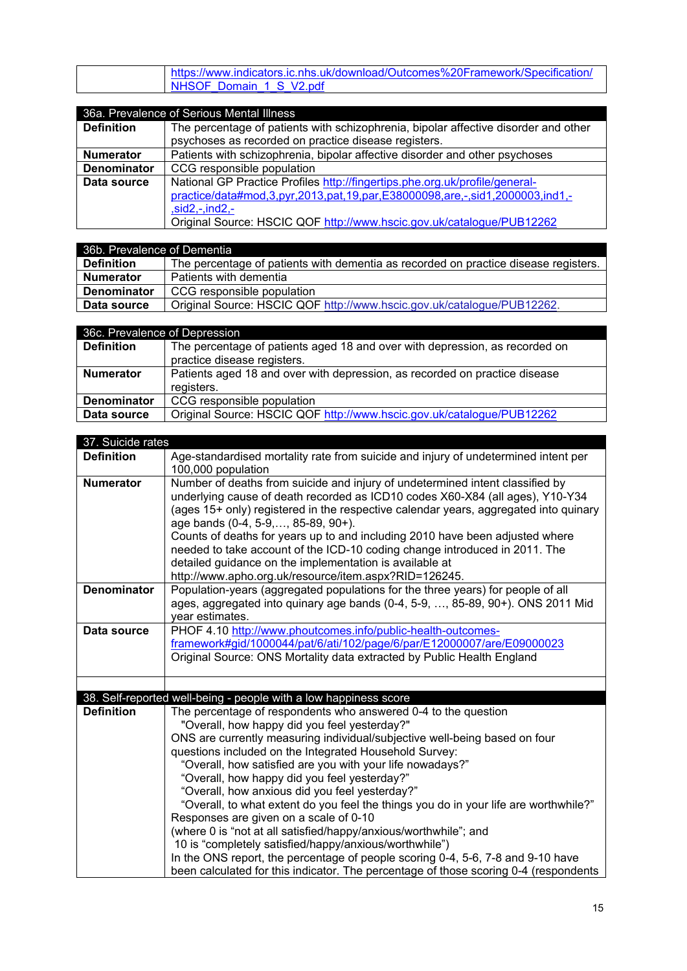| https://www.indicators.ic.nhs.uk/download/Outcomes%20Framework/Specification/ |
|-------------------------------------------------------------------------------|
| NHSOF Domain 1 S V2.pdf                                                       |

# 36a. Prevalence of Serious Mental Illness

| <b>Definition</b>  | The percentage of patients with schizophrenia, bipolar affective disorder and other |
|--------------------|-------------------------------------------------------------------------------------|
|                    | psychoses as recorded on practice disease registers.                                |
| <b>Numerator</b>   | Patients with schizophrenia, bipolar affective disorder and other psychoses         |
| <b>Denominator</b> | CCG responsible population                                                          |
| Data source        | National GP Practice Profiles http://fingertips.phe.org.uk/profile/general-         |
|                    | practice/data#mod,3,pyr,2013,pat,19,par,E38000098,are,-,sid1,2000003,ind1,-         |
|                    | $,sid2,-ind2,-$                                                                     |
|                    | Original Source: HSCIC QOF http://www.hscic.gov.uk/catalogue/PUB12262               |

| 36b. Prevalence of Dementia |                                                                                     |
|-----------------------------|-------------------------------------------------------------------------------------|
| Definition                  | The percentage of patients with dementia as recorded on practice disease registers. |
| <b>Numerator</b>            | Patients with dementia                                                              |
| <b>Denominator</b>          | CCG responsible population                                                          |
| Data source                 | Original Source: HSCIC QOF http://www.hscic.gov.uk/catalogue/PUB12262.              |

| 36c. Prevalence of Depression |                                                                             |
|-------------------------------|-----------------------------------------------------------------------------|
| <b>Definition</b>             | The percentage of patients aged 18 and over with depression, as recorded on |
|                               | practice disease registers.                                                 |
| <b>Numerator</b>              | Patients aged 18 and over with depression, as recorded on practice disease  |
|                               | registers.                                                                  |
| <b>Denominator</b>            | CCG responsible population                                                  |
| Data source                   | Original Source: HSCIC QOF http://www.hscic.gov.uk/catalogue/PUB12262       |

| 37. Suicide rates  |                                                                                                                                                                                                                                                                                                                                                                                                                                                                                                                                                                                                                                                                                                                                                                                                                                                                  |
|--------------------|------------------------------------------------------------------------------------------------------------------------------------------------------------------------------------------------------------------------------------------------------------------------------------------------------------------------------------------------------------------------------------------------------------------------------------------------------------------------------------------------------------------------------------------------------------------------------------------------------------------------------------------------------------------------------------------------------------------------------------------------------------------------------------------------------------------------------------------------------------------|
| <b>Definition</b>  | Age-standardised mortality rate from suicide and injury of undetermined intent per<br>100,000 population                                                                                                                                                                                                                                                                                                                                                                                                                                                                                                                                                                                                                                                                                                                                                         |
| <b>Numerator</b>   | Number of deaths from suicide and injury of undetermined intent classified by<br>underlying cause of death recorded as ICD10 codes X60-X84 (all ages), Y10-Y34<br>(ages 15+ only) registered in the respective calendar years, aggregated into quinary<br>age bands (0-4, 5-9,, 85-89, 90+).<br>Counts of deaths for years up to and including 2010 have been adjusted where<br>needed to take account of the ICD-10 coding change introduced in 2011. The<br>detailed guidance on the implementation is available at<br>http://www.apho.org.uk/resource/item.aspx?RID=126245.                                                                                                                                                                                                                                                                                   |
| <b>Denominator</b> | Population-years (aggregated populations for the three years) for people of all<br>ages, aggregated into quinary age bands (0-4, 5-9, , 85-89, 90+). ONS 2011 Mid<br>year estimates.                                                                                                                                                                                                                                                                                                                                                                                                                                                                                                                                                                                                                                                                             |
| Data source        | PHOF 4.10 http://www.phoutcomes.info/public-health-outcomes-<br>framework#gid/1000044/pat/6/ati/102/page/6/par/E12000007/are/E09000023<br>Original Source: ONS Mortality data extracted by Public Health England                                                                                                                                                                                                                                                                                                                                                                                                                                                                                                                                                                                                                                                 |
|                    |                                                                                                                                                                                                                                                                                                                                                                                                                                                                                                                                                                                                                                                                                                                                                                                                                                                                  |
|                    | 38. Self-reported well-being - people with a low happiness score                                                                                                                                                                                                                                                                                                                                                                                                                                                                                                                                                                                                                                                                                                                                                                                                 |
| <b>Definition</b>  | The percentage of respondents who answered 0-4 to the question<br>"Overall, how happy did you feel yesterday?"<br>ONS are currently measuring individual/subjective well-being based on four<br>questions included on the Integrated Household Survey:<br>"Overall, how satisfied are you with your life nowadays?"<br>"Overall, how happy did you feel yesterday?"<br>"Overall, how anxious did you feel yesterday?"<br>"Overall, to what extent do you feel the things you do in your life are worthwhile?"<br>Responses are given on a scale of 0-10<br>(where 0 is "not at all satisfied/happy/anxious/worthwhile"; and<br>10 is "completely satisfied/happy/anxious/worthwhile")<br>In the ONS report, the percentage of people scoring 0-4, 5-6, 7-8 and 9-10 have<br>been calculated for this indicator. The percentage of those scoring 0-4 (respondents |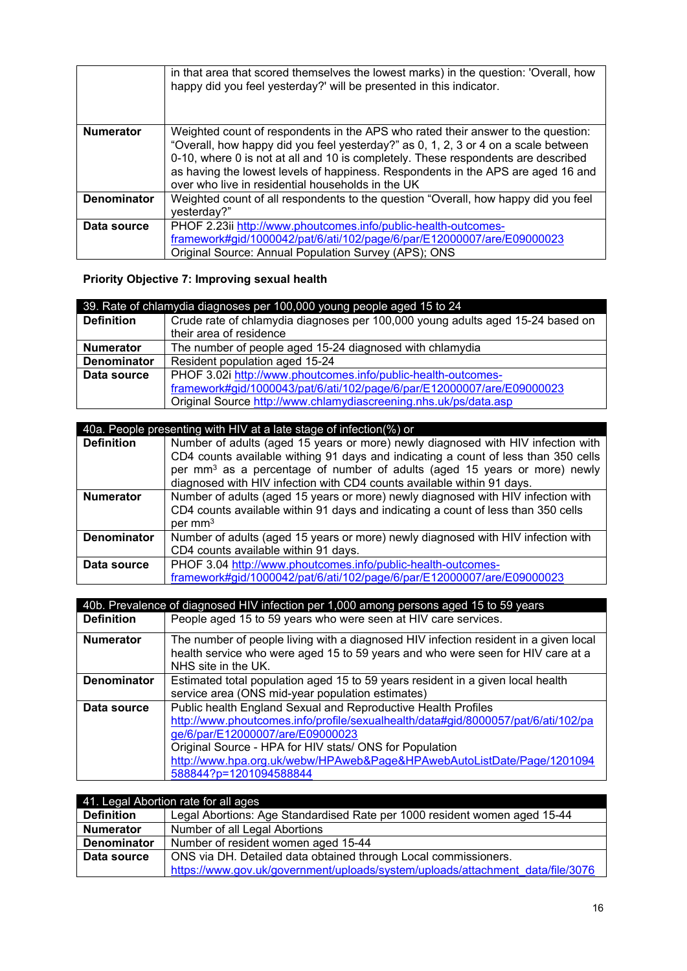|                    | in that area that scored themselves the lowest marks) in the question: 'Overall, how<br>happy did you feel yesterday?' will be presented in this indicator.                                                                                                                                                                                                                                          |
|--------------------|------------------------------------------------------------------------------------------------------------------------------------------------------------------------------------------------------------------------------------------------------------------------------------------------------------------------------------------------------------------------------------------------------|
| <b>Numerator</b>   | Weighted count of respondents in the APS who rated their answer to the question:<br>"Overall, how happy did you feel yesterday?" as 0, 1, 2, 3 or 4 on a scale between<br>0-10, where 0 is not at all and 10 is completely. These respondents are described<br>as having the lowest levels of happiness. Respondents in the APS are aged 16 and<br>over who live in residential households in the UK |
| <b>Denominator</b> | Weighted count of all respondents to the question "Overall, how happy did you feel<br>yesterday?"                                                                                                                                                                                                                                                                                                    |
| Data source        | PHOF 2.23ii http://www.phoutcomes.info/public-health-outcomes-<br>framework#gid/1000042/pat/6/ati/102/page/6/par/E12000007/are/E09000023<br>Original Source: Annual Population Survey (APS); ONS                                                                                                                                                                                                     |

# **Priority Objective 7: Improving sexual health**

| 39. Rate of chlamydia diagnoses per 100,000 young people aged 15 to 24 |                                                                                |  |
|------------------------------------------------------------------------|--------------------------------------------------------------------------------|--|
| <b>Definition</b>                                                      | Crude rate of chlamydia diagnoses per 100,000 young adults aged 15-24 based on |  |
|                                                                        | their area of residence                                                        |  |
| <b>Numerator</b>                                                       | The number of people aged 15-24 diagnosed with chlamydia                       |  |
| <b>Denominator</b>                                                     | Resident population aged 15-24                                                 |  |
| Data source                                                            | PHOF 3.02i http://www.phoutcomes.info/public-health-outcomes-                  |  |
|                                                                        | framework#gid/1000043/pat/6/ati/102/page/6/par/E12000007/are/E09000023         |  |
|                                                                        | Original Source http://www.chlamydiascreening.nhs.uk/ps/data.asp               |  |

| 40a. People presenting with HIV at a late stage of infection(%) or |                                                                                       |  |  |
|--------------------------------------------------------------------|---------------------------------------------------------------------------------------|--|--|
| <b>Definition</b>                                                  | Number of adults (aged 15 years or more) newly diagnosed with HIV infection with      |  |  |
|                                                                    | CD4 counts available withing 91 days and indicating a count of less than 350 cells    |  |  |
|                                                                    | per mm <sup>3</sup> as a percentage of number of adults (aged 15 years or more) newly |  |  |
|                                                                    | diagnosed with HIV infection with CD4 counts available within 91 days.                |  |  |
| <b>Numerator</b>                                                   | Number of adults (aged 15 years or more) newly diagnosed with HIV infection with      |  |  |
|                                                                    | CD4 counts available within 91 days and indicating a count of less than 350 cells     |  |  |
|                                                                    | per mm <sup>3</sup>                                                                   |  |  |
| <b>Denominator</b>                                                 | Number of adults (aged 15 years or more) newly diagnosed with HIV infection with      |  |  |
|                                                                    | CD4 counts available within 91 days.                                                  |  |  |
| Data source                                                        | PHOF 3.04 http://www.phoutcomes.info/public-health-outcomes-                          |  |  |
|                                                                    | framework#gid/1000042/pat/6/ati/102/page/6/par/E12000007/are/E09000023                |  |  |

| 40b. Prevalence of diagnosed HIV infection per 1,000 among persons aged 15 to 59 years |                                                                                                                                                                                                                                                                                                                                                       |  |
|----------------------------------------------------------------------------------------|-------------------------------------------------------------------------------------------------------------------------------------------------------------------------------------------------------------------------------------------------------------------------------------------------------------------------------------------------------|--|
| <b>Definition</b>                                                                      | People aged 15 to 59 years who were seen at HIV care services.                                                                                                                                                                                                                                                                                        |  |
| <b>Numerator</b>                                                                       | The number of people living with a diagnosed HIV infection resident in a given local<br>health service who were aged 15 to 59 years and who were seen for HIV care at a<br>NHS site in the UK.                                                                                                                                                        |  |
| <b>Denominator</b>                                                                     | Estimated total population aged 15 to 59 years resident in a given local health<br>service area (ONS mid-year population estimates)                                                                                                                                                                                                                   |  |
| Data source                                                                            | Public health England Sexual and Reproductive Health Profiles<br>http://www.phoutcomes.info/profile/sexualhealth/data#gid/8000057/pat/6/ati/102/pa<br>ge/6/par/E12000007/are/E09000023<br>Original Source - HPA for HIV stats/ ONS for Population<br>http://www.hpa.org.uk/webw/HPAweb&Page&HPAwebAutoListDate/Page/1201094<br>588844?p=1201094588844 |  |

| 41. Legal Abortion rate for all ages |                                                                                |  |
|--------------------------------------|--------------------------------------------------------------------------------|--|
| <b>Definition</b>                    | Legal Abortions: Age Standardised Rate per 1000 resident women aged 15-44      |  |
| <b>Numerator</b>                     | Number of all Legal Abortions                                                  |  |
| <b>Denominator</b>                   | Number of resident women aged 15-44                                            |  |
| Data source                          | ONS via DH. Detailed data obtained through Local commissioners.                |  |
|                                      | https://www.gov.uk/government/uploads/system/uploads/attachment_data/file/3076 |  |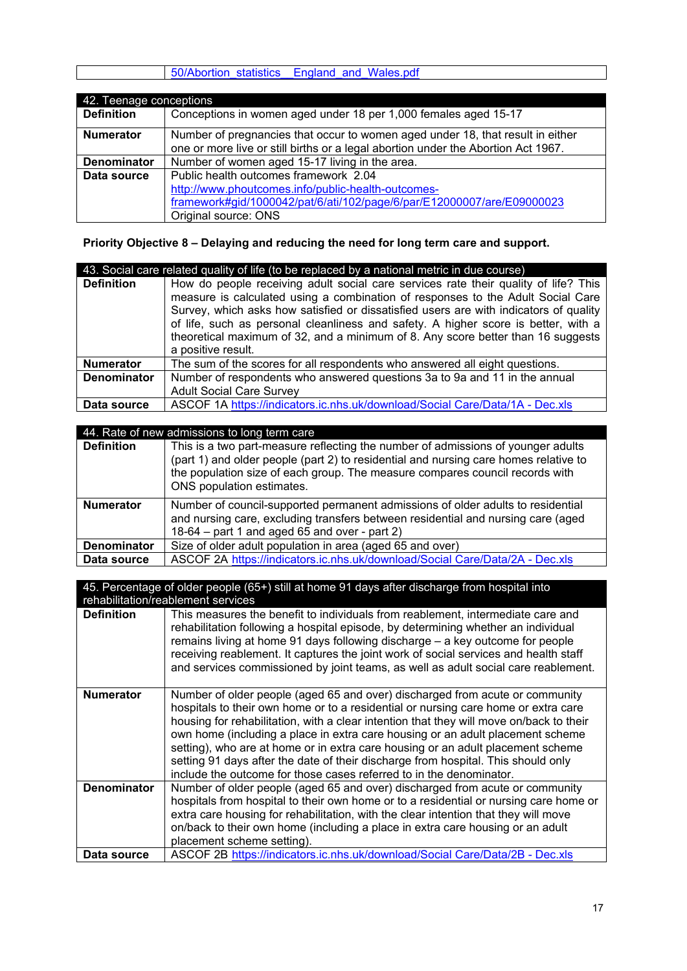|  |  | o0/Abortion statistics England and Wales.pdf |  |
|--|--|----------------------------------------------|--|
|  |  |                                              |  |

| 42. Teenage conceptions |                                                                                   |  |
|-------------------------|-----------------------------------------------------------------------------------|--|
| <b>Definition</b>       | Conceptions in women aged under 18 per 1,000 females aged 15-17                   |  |
| <b>Numerator</b>        | Number of pregnancies that occur to women aged under 18, that result in either    |  |
|                         | one or more live or still births or a legal abortion under the Abortion Act 1967. |  |
| <b>Denominator</b>      | Number of women aged 15-17 living in the area.                                    |  |
| Data source             | Public health outcomes framework 2.04                                             |  |
|                         | http://www.phoutcomes.info/public-health-outcomes-                                |  |
|                         | framework#gid/1000042/pat/6/ati/102/page/6/par/E12000007/are/E09000023            |  |
|                         | Original source: ONS                                                              |  |

**Priority Objective 8 – Delaying and reducing the need for long term care and support.**

| 43. Social care related quality of life (to be replaced by a national metric in due course) |                                                                                                                                                                                                                                                                                                                                                                                                                                                                 |  |
|---------------------------------------------------------------------------------------------|-----------------------------------------------------------------------------------------------------------------------------------------------------------------------------------------------------------------------------------------------------------------------------------------------------------------------------------------------------------------------------------------------------------------------------------------------------------------|--|
| <b>Definition</b>                                                                           | How do people receiving adult social care services rate their quality of life? This<br>measure is calculated using a combination of responses to the Adult Social Care<br>Survey, which asks how satisfied or dissatisfied users are with indicators of quality<br>of life, such as personal cleanliness and safety. A higher score is better, with a<br>theoretical maximum of 32, and a minimum of 8. Any score better than 16 suggests<br>a positive result. |  |
| <b>Numerator</b>                                                                            | The sum of the scores for all respondents who answered all eight questions.                                                                                                                                                                                                                                                                                                                                                                                     |  |
| <b>Denominator</b>                                                                          | Number of respondents who answered questions 3a to 9a and 11 in the annual                                                                                                                                                                                                                                                                                                                                                                                      |  |
|                                                                                             | <b>Adult Social Care Survey</b>                                                                                                                                                                                                                                                                                                                                                                                                                                 |  |
| Data source                                                                                 | ASCOF 1A https://indicators.ic.nhs.uk/download/Social Care/Data/1A - Dec.xls                                                                                                                                                                                                                                                                                                                                                                                    |  |

#### 44. Rate of new admissions to long term care

| <b>Definition</b>  | This is a two part-measure reflecting the number of admissions of younger adults<br>(part 1) and older people (part 2) to residential and nursing care homes relative to<br>the population size of each group. The measure compares council records with<br>ONS population estimates. |
|--------------------|---------------------------------------------------------------------------------------------------------------------------------------------------------------------------------------------------------------------------------------------------------------------------------------|
| <b>Numerator</b>   | Number of council-supported permanent admissions of older adults to residential<br>and nursing care, excluding transfers between residential and nursing care (aged<br>$18-64$ – part 1 and aged 65 and over - part 2)                                                                |
| <b>Denominator</b> | Size of older adult population in area (aged 65 and over)                                                                                                                                                                                                                             |
| Data source        | ASCOF 2A https://indicators.ic.nhs.uk/download/Social Care/Data/2A - Dec.xls                                                                                                                                                                                                          |

| 45. Percentage of older people (65+) still at home 91 days after discharge from hospital into |                                                                                                                                                                                                                                                                                                                                                                                                                                                                                                                                                                                                |  |  |
|-----------------------------------------------------------------------------------------------|------------------------------------------------------------------------------------------------------------------------------------------------------------------------------------------------------------------------------------------------------------------------------------------------------------------------------------------------------------------------------------------------------------------------------------------------------------------------------------------------------------------------------------------------------------------------------------------------|--|--|
|                                                                                               | rehabilitation/reablement services                                                                                                                                                                                                                                                                                                                                                                                                                                                                                                                                                             |  |  |
| <b>Definition</b>                                                                             | This measures the benefit to individuals from reablement, intermediate care and<br>rehabilitation following a hospital episode, by determining whether an individual<br>remains living at home 91 days following discharge – a key outcome for people<br>receiving reablement. It captures the joint work of social services and health staff<br>and services commissioned by joint teams, as well as adult social care reablement.                                                                                                                                                            |  |  |
| <b>Numerator</b>                                                                              | Number of older people (aged 65 and over) discharged from acute or community<br>hospitals to their own home or to a residential or nursing care home or extra care<br>housing for rehabilitation, with a clear intention that they will move on/back to their<br>own home (including a place in extra care housing or an adult placement scheme<br>setting), who are at home or in extra care housing or an adult placement scheme<br>setting 91 days after the date of their discharge from hospital. This should only<br>include the outcome for those cases referred to in the denominator. |  |  |
| <b>Denominator</b>                                                                            | Number of older people (aged 65 and over) discharged from acute or community<br>hospitals from hospital to their own home or to a residential or nursing care home or<br>extra care housing for rehabilitation, with the clear intention that they will move<br>on/back to their own home (including a place in extra care housing or an adult<br>placement scheme setting).                                                                                                                                                                                                                   |  |  |
| Data source                                                                                   | ASCOF 2B https://indicators.ic.nhs.uk/download/Social Care/Data/2B - Dec.xls                                                                                                                                                                                                                                                                                                                                                                                                                                                                                                                   |  |  |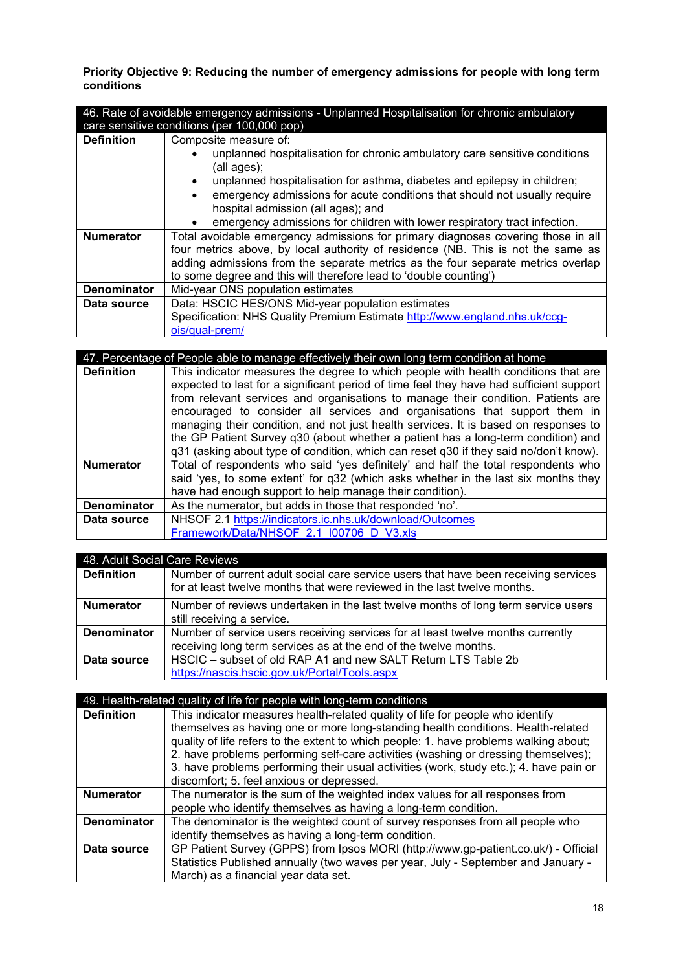**Priority Objective 9: Reducing the number of emergency admissions for people with long term conditions**

| 46. Rate of avoidable emergency admissions - Unplanned Hospitalisation for chronic ambulatory<br>care sensitive conditions (per 100,000 pop) |                                                                                         |  |  |
|----------------------------------------------------------------------------------------------------------------------------------------------|-----------------------------------------------------------------------------------------|--|--|
| <b>Definition</b>                                                                                                                            | Composite measure of:                                                                   |  |  |
|                                                                                                                                              | unplanned hospitalisation for chronic ambulatory care sensitive conditions              |  |  |
|                                                                                                                                              | (all ages);<br>unplanned hospitalisation for asthma, diabetes and epilepsy in children; |  |  |
|                                                                                                                                              | emergency admissions for acute conditions that should not usually require<br>$\bullet$  |  |  |
|                                                                                                                                              | hospital admission (all ages); and                                                      |  |  |
|                                                                                                                                              | emergency admissions for children with lower respiratory tract infection.               |  |  |
| <b>Numerator</b>                                                                                                                             | Total avoidable emergency admissions for primary diagnoses covering those in all        |  |  |
|                                                                                                                                              | four metrics above, by local authority of residence (NB. This is not the same as        |  |  |
|                                                                                                                                              | adding admissions from the separate metrics as the four separate metrics overlap        |  |  |
|                                                                                                                                              | to some degree and this will therefore lead to 'double counting')                       |  |  |
| Denominator                                                                                                                                  | Mid-year ONS population estimates                                                       |  |  |
| Data source                                                                                                                                  | Data: HSCIC HES/ONS Mid-year population estimates                                       |  |  |
|                                                                                                                                              | Specification: NHS Quality Premium Estimate http://www.england.nhs.uk/ccg-              |  |  |
|                                                                                                                                              | ois/qual-prem/                                                                          |  |  |
|                                                                                                                                              |                                                                                         |  |  |

| 47. Percentage of People able to manage effectively their own long term condition at home |                                                                                         |
|-------------------------------------------------------------------------------------------|-----------------------------------------------------------------------------------------|
| <b>Definition</b>                                                                         | This indicator measures the degree to which people with health conditions that are      |
|                                                                                           | expected to last for a significant period of time feel they have had sufficient support |
|                                                                                           | from relevant services and organisations to manage their condition. Patients are        |
|                                                                                           | encouraged to consider all services and organisations that support them in              |
|                                                                                           | managing their condition, and not just health services. It is based on responses to     |
|                                                                                           | the GP Patient Survey q30 (about whether a patient has a long-term condition) and       |
|                                                                                           | q31 (asking about type of condition, which can reset q30 if they said no/don't know).   |
| <b>Numerator</b>                                                                          | Total of respondents who said 'yes definitely' and half the total respondents who       |
|                                                                                           | said 'yes, to some extent' for q32 (which asks whether in the last six months they      |
|                                                                                           | have had enough support to help manage their condition).                                |
| <b>Denominator</b>                                                                        | As the numerator, but adds in those that responded 'no'.                                |
| Data source                                                                               | NHSOF 2.1 https://indicators.ic.nhs.uk/download/Outcomes                                |
|                                                                                           | Framework/Data/NHSOF 2.1 I00706 D V3.xls                                                |
|                                                                                           |                                                                                         |

| 48. Adult Social Care Reviews |                                                                                                                                                                 |
|-------------------------------|-----------------------------------------------------------------------------------------------------------------------------------------------------------------|
| <b>Definition</b>             | Number of current adult social care service users that have been receiving services<br>for at least twelve months that were reviewed in the last twelve months. |
| <b>Numerator</b>              | Number of reviews undertaken in the last twelve months of long term service users                                                                               |
|                               | still receiving a service.                                                                                                                                      |
| <b>Denominator</b>            | Number of service users receiving services for at least twelve months currently                                                                                 |
|                               | receiving long term services as at the end of the twelve months.                                                                                                |
| Data source                   | HSCIC - subset of old RAP A1 and new SALT Return LTS Table 2b                                                                                                   |
|                               | https://nascis.hscic.gov.uk/Portal/Tools.aspx                                                                                                                   |

| 49. Health-related quality of life for people with long-term conditions |                                                                                        |
|-------------------------------------------------------------------------|----------------------------------------------------------------------------------------|
| <b>Definition</b>                                                       | This indicator measures health-related quality of life for people who identify         |
|                                                                         | themselves as having one or more long-standing health conditions. Health-related       |
|                                                                         | quality of life refers to the extent to which people: 1. have problems walking about;  |
|                                                                         | 2. have problems performing self-care activities (washing or dressing themselves);     |
|                                                                         | 3. have problems performing their usual activities (work, study etc.); 4. have pain or |
|                                                                         | discomfort; 5. feel anxious or depressed.                                              |
| <b>Numerator</b>                                                        | The numerator is the sum of the weighted index values for all responses from           |
|                                                                         | people who identify themselves as having a long-term condition.                        |
| <b>Denominator</b>                                                      | The denominator is the weighted count of survey responses from all people who          |
|                                                                         | identify themselves as having a long-term condition.                                   |
| Data source                                                             | GP Patient Survey (GPPS) from Ipsos MORI (http://www.gp-patient.co.uk/) - Official     |
|                                                                         | Statistics Published annually (two waves per year, July - September and January -      |
|                                                                         | March) as a financial year data set.                                                   |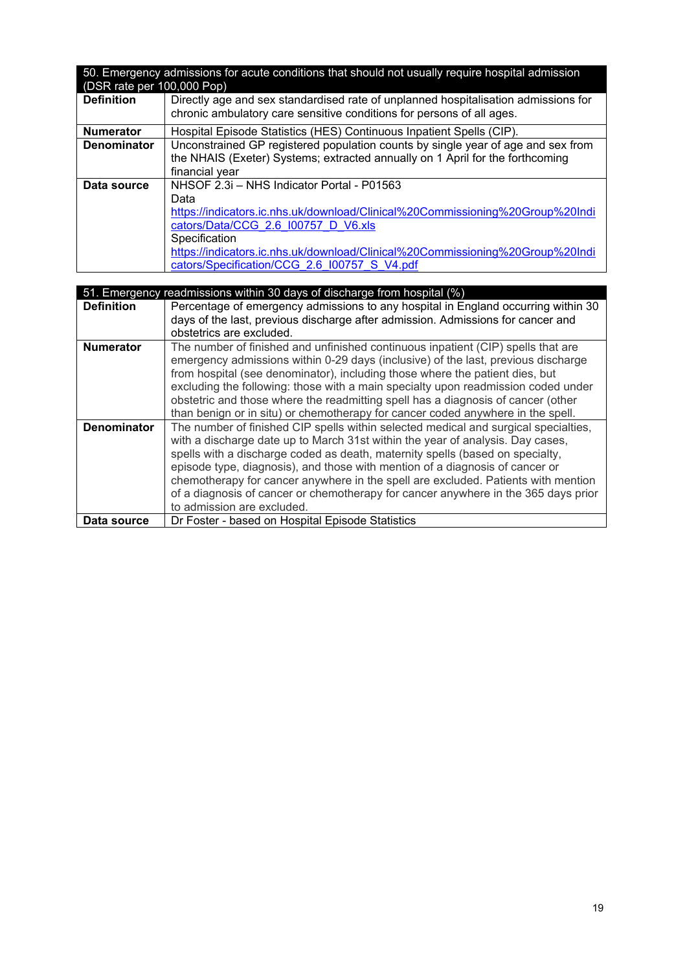| 50. Emergency admissions for acute conditions that should not usually require hospital admission<br>(DSR rate per 100,000 Pop) |                                                                                                                                                                                                                                                                                                                              |  |
|--------------------------------------------------------------------------------------------------------------------------------|------------------------------------------------------------------------------------------------------------------------------------------------------------------------------------------------------------------------------------------------------------------------------------------------------------------------------|--|
| <b>Definition</b>                                                                                                              | Directly age and sex standardised rate of unplanned hospitalisation admissions for<br>chronic ambulatory care sensitive conditions for persons of all ages.                                                                                                                                                                  |  |
| <b>Numerator</b>                                                                                                               | Hospital Episode Statistics (HES) Continuous Inpatient Spells (CIP).                                                                                                                                                                                                                                                         |  |
| <b>Denominator</b>                                                                                                             | Unconstrained GP registered population counts by single year of age and sex from<br>the NHAIS (Exeter) Systems; extracted annually on 1 April for the forthcoming<br>financial year                                                                                                                                          |  |
| Data source                                                                                                                    | NHSOF 2.3i - NHS Indicator Portal - P01563<br>Data<br>https://indicators.ic.nhs.uk/download/Clinical%20Commissioning%20Group%20Indi<br>cators/Data/CCG 2.6 100757 D V6.xls<br>Specification<br>https://indicators.ic.nhs.uk/download/Clinical%20Commissioning%20Group%20Indi<br>cators/Specification/CCG 2.6 I00757 S V4.pdf |  |

| 51. Emergency readmissions within 30 days of discharge from hospital (%) |                                                                                     |  |
|--------------------------------------------------------------------------|-------------------------------------------------------------------------------------|--|
| <b>Definition</b>                                                        | Percentage of emergency admissions to any hospital in England occurring within 30   |  |
|                                                                          | days of the last, previous discharge after admission. Admissions for cancer and     |  |
|                                                                          | obstetrics are excluded.                                                            |  |
| <b>Numerator</b>                                                         | The number of finished and unfinished continuous inpatient (CIP) spells that are    |  |
|                                                                          | emergency admissions within 0-29 days (inclusive) of the last, previous discharge   |  |
|                                                                          | from hospital (see denominator), including those where the patient dies, but        |  |
|                                                                          | excluding the following: those with a main specialty upon readmission coded under   |  |
|                                                                          | obstetric and those where the readmitting spell has a diagnosis of cancer (other    |  |
|                                                                          | than benign or in situ) or chemotherapy for cancer coded anywhere in the spell.     |  |
| <b>Denominator</b>                                                       | The number of finished CIP spells within selected medical and surgical specialties, |  |
|                                                                          | with a discharge date up to March 31st within the year of analysis. Day cases,      |  |
|                                                                          | spells with a discharge coded as death, maternity spells (based on specialty,       |  |
|                                                                          | episode type, diagnosis), and those with mention of a diagnosis of cancer or        |  |
|                                                                          | chemotherapy for cancer anywhere in the spell are excluded. Patients with mention   |  |
|                                                                          | of a diagnosis of cancer or chemotherapy for cancer anywhere in the 365 days prior  |  |
|                                                                          | to admission are excluded.                                                          |  |
| Data source                                                              | Dr Foster - based on Hospital Episode Statistics                                    |  |